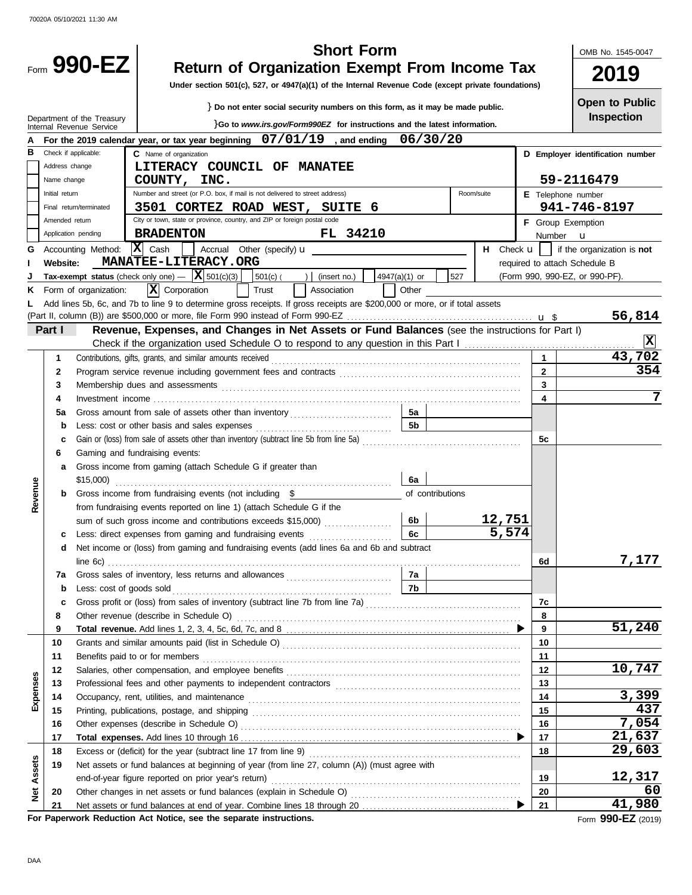|                   |                |                            | <b>Short Form</b>                                                                                                                                                                                                              |                 | OMB No. 1545-0047                |
|-------------------|----------------|----------------------------|--------------------------------------------------------------------------------------------------------------------------------------------------------------------------------------------------------------------------------|-----------------|----------------------------------|
|                   |                | Form 990-EZ                | <b>Return of Organization Exempt From Income Tax</b><br>Under section 501(c), 527, or 4947(a)(1) of the Internal Revenue Code (except private foundations)                                                                     |                 | 2019                             |
|                   |                |                            | } Do not enter social security numbers on this form, as it may be made public.                                                                                                                                                 |                 | <b>Open to Public</b>            |
|                   |                | Department of the Treasury | }Go to www.irs.gov/Form990EZ for instructions and the latest information.                                                                                                                                                      |                 | Inspection                       |
|                   |                | Internal Revenue Service   | For the 2019 calendar year, or tax year beginning $07/01/19$ , and ending<br>06/30/20                                                                                                                                          |                 |                                  |
| в                 |                | Check if applicable:       | C Name of organization                                                                                                                                                                                                         |                 | D Employer identification number |
|                   | Address change |                            | LITERACY COUNCIL OF MANATEE                                                                                                                                                                                                    |                 |                                  |
|                   | Name change    |                            | COUNTY,<br>INC.                                                                                                                                                                                                                |                 | 59-2116479                       |
|                   | Initial return |                            | Number and street (or P.O. box, if mail is not delivered to street address)<br>Room/suite                                                                                                                                      |                 | E Telephone number               |
|                   |                | Final return/terminated    | 3501 CORTEZ ROAD WEST, SUITE 6                                                                                                                                                                                                 |                 | 941-746-8197                     |
|                   | Amended return |                            | City or town, state or province, country, and ZIP or foreign postal code                                                                                                                                                       |                 | <b>F</b> Group Exemption         |
|                   |                | Application pending        | FL 34210<br><b>BRADENTON</b>                                                                                                                                                                                                   | Number <b>u</b> |                                  |
| G                 |                | Accounting Method:         | $ \mathbf{X} $ Cash<br>Accrual Other (specify) <b>u</b><br>$H$ Check $u$                                                                                                                                                       |                 | if the organization is not       |
|                   | Website:       |                            | <b>MANATEE-LITERACY.ORG</b>                                                                                                                                                                                                    |                 | required to attach Schedule B    |
|                   |                |                            | <b>Tax-exempt status</b> (check only one) $ \left \mathbf{X}\right $ 501(c)(3) $\left  \right $ 501(c) ( )   (insert no.)<br>527<br>4947(a)(1) or                                                                              |                 | (Form 990, 990-EZ, or 990-PF).   |
| ĸ                 |                | Form of organization:      | $ \mathbf{X} $ Corporation<br>Trust<br>Association<br>Other<br>Add lines 5b, 6c, and 7b to line 9 to determine gross receipts. If gross receipts are \$200,000 or more, or if total assets                                     |                 |                                  |
|                   |                |                            |                                                                                                                                                                                                                                |                 | 56,814                           |
|                   | Part I         |                            | Revenue, Expenses, and Changes in Net Assets or Fund Balances (see the instructions for Part I)                                                                                                                                |                 |                                  |
|                   |                |                            | Check if the organization used Schedule O to respond to any question in this Part I manufactured contains the organization used Schedule O to respond to any question in this Part I                                           |                 | $ \mathbf{x} $                   |
|                   | 1              |                            | Contributions, gifts, grants, and similar amounts received                                                                                                                                                                     | $\mathbf{1}$    | 43,702                           |
|                   | 2              |                            |                                                                                                                                                                                                                                | $\overline{2}$  | 354                              |
|                   | 3              |                            | Membership dues and assessments contained and assessments are contained as a series of the series of the series of the series of the series of the series of the series of the series of the series of the series of the serie | $\overline{3}$  |                                  |
|                   | 4              |                            |                                                                                                                                                                                                                                | 4               | 7                                |
|                   | 5a             |                            | 5а<br>Gross amount from sale of assets other than inventory                                                                                                                                                                    |                 |                                  |
|                   | b              |                            |                                                                                                                                                                                                                                |                 |                                  |
|                   | с              |                            | 5c                                                                                                                                                                                                                             |                 |                                  |
|                   | 6              |                            | Gaming and fundraising events:                                                                                                                                                                                                 |                 |                                  |
|                   | a              |                            | Gross income from gaming (attach Schedule G if greater than                                                                                                                                                                    |                 |                                  |
|                   |                | \$15,000                   | 6а                                                                                                                                                                                                                             |                 |                                  |
| Revenue           | b              |                            | Gross income from fundraising events (not including \$<br>of contributions                                                                                                                                                     |                 |                                  |
|                   |                |                            | from fundraising events reported on line 1) (attach Schedule G if the                                                                                                                                                          |                 |                                  |
|                   |                |                            | <u>12,</u> 751<br>sum of such gross income and contributions exceeds \$15,000)<br>6b                                                                                                                                           |                 |                                  |
|                   | с              |                            | 5,574<br>6c<br>Less: direct expenses from gaming and fundraising events                                                                                                                                                        |                 |                                  |
|                   | d              |                            | Net income or (loss) from gaming and fundraising events (add lines 6a and 6b and subtract                                                                                                                                      |                 |                                  |
|                   |                |                            | 7а                                                                                                                                                                                                                             | 6d              | 7,177                            |
|                   | 7a             |                            | 7b                                                                                                                                                                                                                             |                 |                                  |
|                   | b<br>c         |                            |                                                                                                                                                                                                                                | 7c              |                                  |
|                   | 8              |                            |                                                                                                                                                                                                                                | 8               |                                  |
|                   | 9              |                            |                                                                                                                                                                                                                                | 9               | 51,240                           |
|                   | 10             |                            |                                                                                                                                                                                                                                | 10              |                                  |
|                   | 11             |                            |                                                                                                                                                                                                                                | 11              |                                  |
|                   | 12             |                            |                                                                                                                                                                                                                                | 12              | 10,747                           |
| Expenses          | 13             |                            |                                                                                                                                                                                                                                | 13              |                                  |
|                   | 14             |                            |                                                                                                                                                                                                                                | 14              | 3,399                            |
|                   | 15             |                            |                                                                                                                                                                                                                                | 15              | 437                              |
|                   | 16             |                            |                                                                                                                                                                                                                                | 16              | 7,054                            |
|                   | 17             |                            |                                                                                                                                                                                                                                | 17              | 21,637                           |
|                   | 18             |                            |                                                                                                                                                                                                                                | 18              | 29,603                           |
|                   | 19             |                            | Net assets or fund balances at beginning of year (from line 27, column (A)) (must agree with                                                                                                                                   |                 |                                  |
| <b>Net Assets</b> |                |                            | end-of-year figure reported on prior year's return)                                                                                                                                                                            | 19              | 12,317                           |
|                   | 20             |                            |                                                                                                                                                                                                                                | 20              | 60                               |
|                   | 21             |                            |                                                                                                                                                                                                                                | 21              | 41,980                           |

**For Paperwork Reduction Act Notice, see the separate instructions.**

Form **990-EZ** (2019)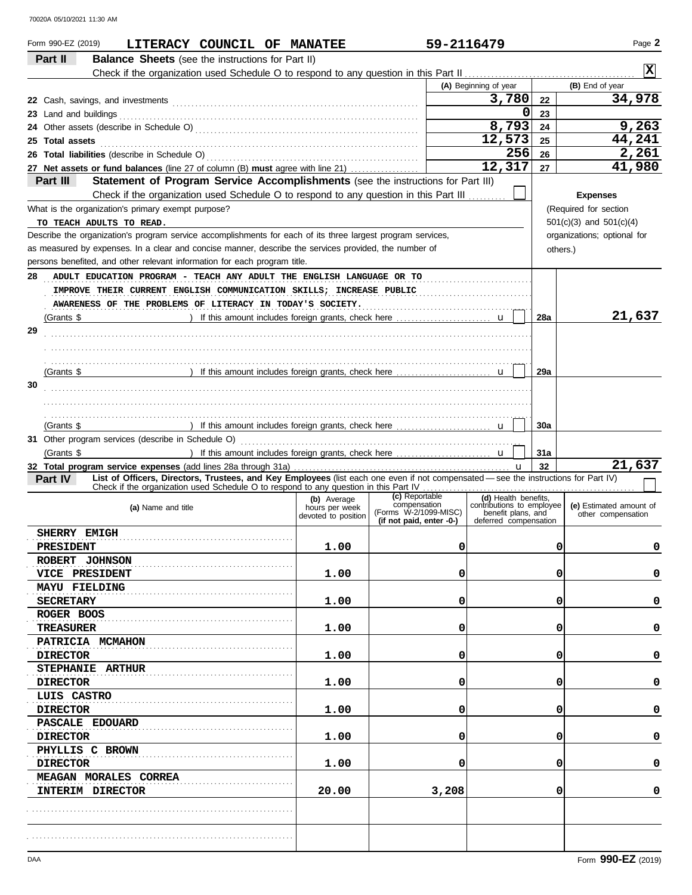| Form 990-EZ (2019)<br>LITERACY COUNCIL OF MANATEE                                                                                                                                                                                      |                                       |                                |       | 59-2116479                                      |          | Page 2                                        |
|----------------------------------------------------------------------------------------------------------------------------------------------------------------------------------------------------------------------------------------|---------------------------------------|--------------------------------|-------|-------------------------------------------------|----------|-----------------------------------------------|
| Part II<br><b>Balance Sheets</b> (see the instructions for Part II)                                                                                                                                                                    |                                       |                                |       |                                                 |          |                                               |
|                                                                                                                                                                                                                                        |                                       |                                |       |                                                 |          | x                                             |
|                                                                                                                                                                                                                                        |                                       |                                |       | (A) Beginning of year                           |          | (B) End of year                               |
|                                                                                                                                                                                                                                        |                                       |                                |       | 3,780                                           | 22       | 34,978                                        |
| 23 Land and buildings                                                                                                                                                                                                                  |                                       |                                |       | 0                                               | 23       |                                               |
|                                                                                                                                                                                                                                        |                                       |                                |       | 8,793                                           | 24       | 9,263                                         |
| 25 Total assets                                                                                                                                                                                                                        |                                       |                                |       | 12,573                                          | 25       | 44,241                                        |
|                                                                                                                                                                                                                                        |                                       |                                |       | 256                                             | 26       | $\overline{2,261}$                            |
| 27 Net assets or fund balances (line 27 of column (B) must agree with line 21)                                                                                                                                                         |                                       |                                |       | 12,317                                          | 27       | 41,980                                        |
| Part III<br>Statement of Program Service Accomplishments (see the instructions for Part III)<br>Check if the organization used Schedule O to respond to any question in this Part III                                                  |                                       |                                |       |                                                 |          | <b>Expenses</b>                               |
| What is the organization's primary exempt purpose?                                                                                                                                                                                     |                                       |                                |       |                                                 |          | (Required for section                         |
| TO TEACH ADULTS TO READ.                                                                                                                                                                                                               |                                       |                                |       |                                                 |          | $501(c)(3)$ and $501(c)(4)$                   |
| Describe the organization's program service accomplishments for each of its three largest program services,                                                                                                                            |                                       |                                |       |                                                 |          | organizations; optional for                   |
| as measured by expenses. In a clear and concise manner, describe the services provided, the number of                                                                                                                                  |                                       |                                |       |                                                 | others.) |                                               |
| persons benefited, and other relevant information for each program title.                                                                                                                                                              |                                       |                                |       |                                                 |          |                                               |
| 28<br>ADULT EDUCATION PROGRAM - TEACH ANY ADULT THE ENGLISH LANGUAGE OR TO                                                                                                                                                             |                                       |                                |       |                                                 |          |                                               |
| IMPROVE THEIR CURRENT ENGLISH COMMUNICATION SKILLS; INCREASE PUBLIC                                                                                                                                                                    |                                       |                                |       |                                                 |          |                                               |
| AWARENESS OF THE PROBLEMS OF LITERACY IN TODAY'S SOCIETY.                                                                                                                                                                              |                                       |                                |       |                                                 |          |                                               |
| If this amount includes foreign grants, check here<br>(Grants \$                                                                                                                                                                       |                                       |                                |       | $\mathbf{u}$                                    | 28a      | 21,637                                        |
| 29                                                                                                                                                                                                                                     |                                       |                                |       |                                                 |          |                                               |
|                                                                                                                                                                                                                                        |                                       |                                |       |                                                 |          |                                               |
|                                                                                                                                                                                                                                        |                                       |                                |       |                                                 |          |                                               |
| (Grants \$                                                                                                                                                                                                                             |                                       |                                |       |                                                 | 29a      |                                               |
| 30                                                                                                                                                                                                                                     |                                       |                                |       |                                                 |          |                                               |
|                                                                                                                                                                                                                                        |                                       |                                |       |                                                 |          |                                               |
|                                                                                                                                                                                                                                        |                                       |                                |       |                                                 |          |                                               |
| (Grants \$                                                                                                                                                                                                                             |                                       |                                |       |                                                 | 30a      |                                               |
|                                                                                                                                                                                                                                        |                                       |                                |       |                                                 |          |                                               |
| (Grants \$                                                                                                                                                                                                                             |                                       |                                |       |                                                 | 31a      |                                               |
|                                                                                                                                                                                                                                        |                                       |                                |       | u                                               | 32       | 21,637                                        |
| List of Officers, Directors, Trustees, and Key Employees (list each one even if not compensated - see the instructions for Part IV)<br>Part IV<br>Check if the organization used Schedule O to respond to any question in this Part IV |                                       |                                |       |                                                 |          |                                               |
|                                                                                                                                                                                                                                        | (b) Average                           | (c) Reportable<br>compensation |       | (d) Health benefits,                            |          |                                               |
| (a) Name and title                                                                                                                                                                                                                     | hours per week<br>devoted to position | (Forms W-2/1099-MISC)          |       | contributions to employee<br>benefit plans, and |          | (e) Estimated amount of<br>other compensation |
|                                                                                                                                                                                                                                        |                                       | (if not paid, enter -0-)       |       | deferred compensation                           |          |                                               |
| SHERRY EMIGH                                                                                                                                                                                                                           |                                       |                                |       |                                                 |          |                                               |
| <b>PRESIDENT</b>                                                                                                                                                                                                                       | 1.00                                  |                                | 0     |                                                 | 0        | 0                                             |
| ROBERT JOHNSON                                                                                                                                                                                                                         |                                       |                                |       |                                                 |          |                                               |
| <b>VICE PRESIDENT</b>                                                                                                                                                                                                                  | 1.00                                  |                                | 0     |                                                 | 0        | 0                                             |
| <b>MAYU FIELDING</b>                                                                                                                                                                                                                   |                                       |                                |       |                                                 |          |                                               |
| <b>SECRETARY</b>                                                                                                                                                                                                                       | 1.00                                  |                                | 0     |                                                 | 0        | 0                                             |
| ROGER BOOS                                                                                                                                                                                                                             |                                       |                                |       |                                                 |          |                                               |
| TREASURER                                                                                                                                                                                                                              | 1.00                                  |                                | 0     |                                                 | 0        | 0                                             |
| PATRICIA MCMAHON                                                                                                                                                                                                                       |                                       |                                |       |                                                 |          |                                               |
| <b>DIRECTOR</b>                                                                                                                                                                                                                        | 1.00                                  |                                | 0     |                                                 | 0        | 0                                             |
| STEPHANIE ARTHUR                                                                                                                                                                                                                       |                                       |                                |       |                                                 |          |                                               |
| <b>DIRECTOR</b>                                                                                                                                                                                                                        | 1.00                                  |                                | 0     |                                                 | 0        | 0                                             |
| LUIS CASTRO                                                                                                                                                                                                                            |                                       |                                |       |                                                 |          |                                               |
| <b>DIRECTOR</b>                                                                                                                                                                                                                        | 1.00                                  |                                | 0     |                                                 | 0        | 0                                             |
| PASCALE EDOUARD                                                                                                                                                                                                                        |                                       |                                |       |                                                 |          |                                               |
| <b>DIRECTOR</b>                                                                                                                                                                                                                        | 1.00                                  |                                | 0     |                                                 | 0        | 0                                             |
| PHYLLIS C BROWN                                                                                                                                                                                                                        |                                       |                                |       |                                                 |          |                                               |
| <b>DIRECTOR</b>                                                                                                                                                                                                                        | 1.00                                  |                                | 0     |                                                 | 0        | 0                                             |
| <b>MEAGAN MORALES CORREA</b>                                                                                                                                                                                                           |                                       |                                |       |                                                 |          |                                               |
| INTERIM DIRECTOR                                                                                                                                                                                                                       | 20.00                                 |                                | 3,208 |                                                 | 0        | 0                                             |
|                                                                                                                                                                                                                                        |                                       |                                |       |                                                 |          |                                               |
|                                                                                                                                                                                                                                        |                                       |                                |       |                                                 |          |                                               |
|                                                                                                                                                                                                                                        |                                       |                                |       |                                                 |          |                                               |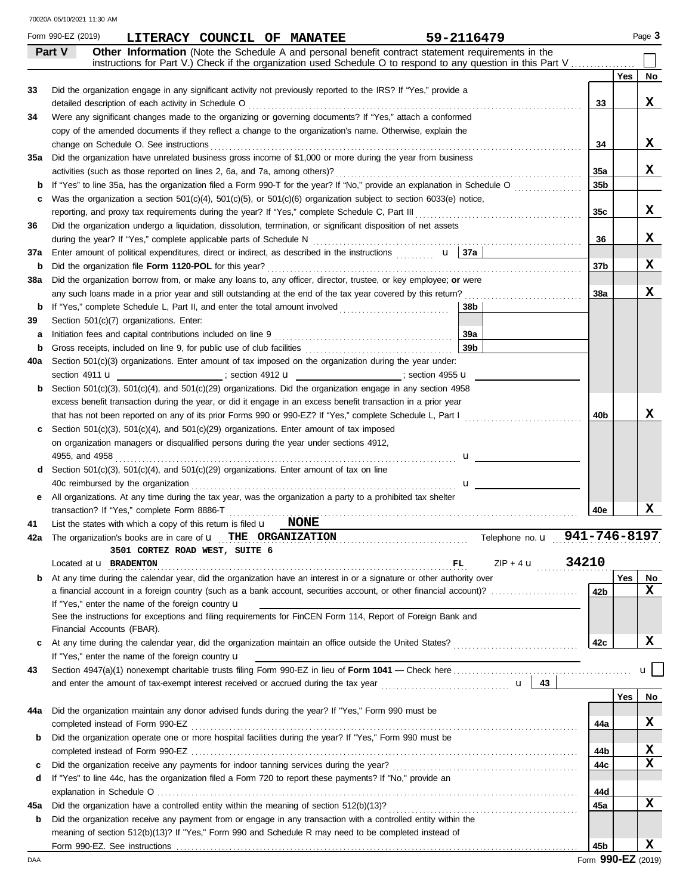|     | Form 990-EZ (2019) |                                                                             | LITERACY COUNCIL OF MANATEE |                                                                                                                | 59-2116479                                                                                                                                                                                                          |                                                                                                                                                                                                                                                                                                                                 |                 |     | Page 3       |
|-----|--------------------|-----------------------------------------------------------------------------|-----------------------------|----------------------------------------------------------------------------------------------------------------|---------------------------------------------------------------------------------------------------------------------------------------------------------------------------------------------------------------------|---------------------------------------------------------------------------------------------------------------------------------------------------------------------------------------------------------------------------------------------------------------------------------------------------------------------------------|-----------------|-----|--------------|
|     | Part V             |                                                                             |                             |                                                                                                                | Other Information (Note the Schedule A and personal benefit contract statement requirements in the<br>instructions for Part V.) Check if the organization used Schedule O to respond to any question in this Part V |                                                                                                                                                                                                                                                                                                                                 |                 |     |              |
|     |                    |                                                                             |                             |                                                                                                                |                                                                                                                                                                                                                     |                                                                                                                                                                                                                                                                                                                                 |                 | Yes | No           |
| 33  |                    |                                                                             |                             |                                                                                                                | Did the organization engage in any significant activity not previously reported to the IRS? If "Yes," provide a                                                                                                     |                                                                                                                                                                                                                                                                                                                                 |                 |     |              |
|     |                    | detailed description of each activity in Schedule O                         |                             |                                                                                                                |                                                                                                                                                                                                                     |                                                                                                                                                                                                                                                                                                                                 | 33              |     | X            |
| 34  |                    |                                                                             |                             |                                                                                                                | Were any significant changes made to the organizing or governing documents? If "Yes," attach a conformed                                                                                                            |                                                                                                                                                                                                                                                                                                                                 |                 |     |              |
|     |                    |                                                                             |                             |                                                                                                                | copy of the amended documents if they reflect a change to the organization's name. Otherwise, explain the                                                                                                           |                                                                                                                                                                                                                                                                                                                                 |                 |     |              |
|     |                    | change on Schedule O. See instructions                                      |                             |                                                                                                                |                                                                                                                                                                                                                     |                                                                                                                                                                                                                                                                                                                                 | 34              |     | x            |
| 35a |                    |                                                                             |                             |                                                                                                                | Did the organization have unrelated business gross income of \$1,000 or more during the year from business                                                                                                          |                                                                                                                                                                                                                                                                                                                                 |                 |     |              |
|     |                    | activities (such as those reported on lines 2, 6a, and 7a, among others)?   |                             |                                                                                                                |                                                                                                                                                                                                                     |                                                                                                                                                                                                                                                                                                                                 | <b>35a</b>      |     | x            |
| b   |                    |                                                                             |                             |                                                                                                                | If "Yes" to line 35a, has the organization filed a Form 990-T for the year? If "No," provide an explanation in Schedule O                                                                                           |                                                                                                                                                                                                                                                                                                                                 | 35 <sub>b</sub> |     |              |
| c   |                    |                                                                             |                             |                                                                                                                | Was the organization a section $501(c)(4)$ , $501(c)(5)$ , or $501(c)(6)$ organization subject to section $6033(e)$ notice,                                                                                         |                                                                                                                                                                                                                                                                                                                                 |                 |     | x            |
|     |                    |                                                                             |                             | reporting, and proxy tax requirements during the year? If "Yes," complete Schedule C, Part III                 |                                                                                                                                                                                                                     |                                                                                                                                                                                                                                                                                                                                 | 35c             |     |              |
| 36  |                    |                                                                             |                             | Did the organization undergo a liquidation, dissolution, termination, or significant disposition of net assets |                                                                                                                                                                                                                     |                                                                                                                                                                                                                                                                                                                                 | 36              |     | x            |
| 37a |                    | during the year? If "Yes," complete applicable parts of Schedule N          |                             |                                                                                                                |                                                                                                                                                                                                                     |                                                                                                                                                                                                                                                                                                                                 |                 |     |              |
| b   |                    | Did the organization file Form 1120-POL for this year?                      |                             |                                                                                                                |                                                                                                                                                                                                                     |                                                                                                                                                                                                                                                                                                                                 | 37b             |     | x            |
| 38a |                    |                                                                             |                             |                                                                                                                | Did the organization borrow from, or make any loans to, any officer, director, trustee, or key employee; or were                                                                                                    |                                                                                                                                                                                                                                                                                                                                 |                 |     |              |
|     |                    |                                                                             |                             |                                                                                                                | any such loans made in a prior year and still outstanding at the end of the tax year covered by this return?                                                                                                        |                                                                                                                                                                                                                                                                                                                                 | 38a             |     | x            |
| b   |                    |                                                                             |                             | If "Yes," complete Schedule L, Part II, and enter the total amount involved                                    |                                                                                                                                                                                                                     | 38b                                                                                                                                                                                                                                                                                                                             |                 |     |              |
| 39  |                    | Section 501(c)(7) organizations. Enter:                                     |                             |                                                                                                                |                                                                                                                                                                                                                     |                                                                                                                                                                                                                                                                                                                                 |                 |     |              |
| a   |                    | Initiation fees and capital contributions included on line 9                |                             |                                                                                                                | 39a                                                                                                                                                                                                                 |                                                                                                                                                                                                                                                                                                                                 |                 |     |              |
| b   |                    |                                                                             |                             |                                                                                                                |                                                                                                                                                                                                                     | 39 <sub>b</sub>                                                                                                                                                                                                                                                                                                                 |                 |     |              |
| 40a |                    |                                                                             |                             | Section 501(c)(3) organizations. Enter amount of tax imposed on the organization during the year under:        |                                                                                                                                                                                                                     |                                                                                                                                                                                                                                                                                                                                 |                 |     |              |
|     |                    |                                                                             |                             |                                                                                                                | section 4911 <b>u</b> ____________________; section 4912 <b>u</b> __________________; section 4955 <b>u</b>                                                                                                         |                                                                                                                                                                                                                                                                                                                                 |                 |     |              |
| b   |                    |                                                                             |                             |                                                                                                                | Section 501(c)(3), 501(c)(4), and 501(c)(29) organizations. Did the organization engage in any section 4958                                                                                                         |                                                                                                                                                                                                                                                                                                                                 |                 |     |              |
|     |                    |                                                                             |                             |                                                                                                                | excess benefit transaction during the year, or did it engage in an excess benefit transaction in a prior year                                                                                                       |                                                                                                                                                                                                                                                                                                                                 |                 |     |              |
|     |                    |                                                                             |                             | that has not been reported on any of its prior Forms 990 or 990-EZ? If "Yes," complete Schedule L, Part I      |                                                                                                                                                                                                                     |                                                                                                                                                                                                                                                                                                                                 | 40 <sub>b</sub> |     | x            |
| c   |                    |                                                                             |                             | Section $501(c)(3)$ , $501(c)(4)$ , and $501(c)(29)$ organizations. Enter amount of tax imposed                |                                                                                                                                                                                                                     |                                                                                                                                                                                                                                                                                                                                 |                 |     |              |
|     |                    |                                                                             |                             | on organization managers or disqualified persons during the year under sections 4912,                          |                                                                                                                                                                                                                     |                                                                                                                                                                                                                                                                                                                                 |                 |     |              |
|     | 4955, and 4958     |                                                                             |                             |                                                                                                                |                                                                                                                                                                                                                     | $\mathbf{u}$ and $\mathbf{u}$ and $\mathbf{u}$ and $\mathbf{u}$ and $\mathbf{u}$ and $\mathbf{u}$ and $\mathbf{u}$ and $\mathbf{u}$ and $\mathbf{u}$ and $\mathbf{u}$ and $\mathbf{u}$ and $\mathbf{u}$ and $\mathbf{u}$ and $\mathbf{u}$ and $\mathbf{u}$ and $\mathbf{u}$ and $\mathbf{u}$ and                                |                 |     |              |
| d   |                    |                                                                             |                             | Section $501(c)(3)$ , $501(c)(4)$ , and $501(c)(29)$ organizations. Enter amount of tax on line                |                                                                                                                                                                                                                     |                                                                                                                                                                                                                                                                                                                                 |                 |     |              |
|     |                    | 40c reimbursed by the organization                                          |                             |                                                                                                                |                                                                                                                                                                                                                     | $\mathbf u$ and $\mathbf u$ and $\mathbf u$ and $\mathbf u$ and $\mathbf u$ and $\mathbf u$ and $\mathbf u$ and $\mathbf u$ and $\mathbf u$ and $\mathbf u$ and $\mathbf u$ and $\mathbf u$ and $\mathbf u$ and $\mathbf u$ and $\mathbf u$ and $\mathbf u$ and $\mathbf u$ and $\mathbf u$ and $\mathbf u$ and $\mathbf u$ and |                 |     |              |
| е   |                    |                                                                             |                             | All organizations. At any time during the tax year, was the organization a party to a prohibited tax shelter   |                                                                                                                                                                                                                     |                                                                                                                                                                                                                                                                                                                                 |                 |     |              |
|     |                    | transaction? If "Yes," complete Form 8886-T                                 |                             |                                                                                                                |                                                                                                                                                                                                                     |                                                                                                                                                                                                                                                                                                                                 | 40e             |     | x            |
| 41  |                    | List the states with which a copy of this return is filed $\mathbf{u}$ MONE |                             |                                                                                                                |                                                                                                                                                                                                                     |                                                                                                                                                                                                                                                                                                                                 |                 |     |              |
| 42a |                    |                                                                             |                             |                                                                                                                | The organization's books are in care of <b>u</b> THE ORGANIZATION                                                                                                                                                   | Telephone no. u 941-746-8197                                                                                                                                                                                                                                                                                                    |                 |     |              |
|     |                    | 3501 CORTEZ ROAD WEST, SUITE 6                                              |                             |                                                                                                                |                                                                                                                                                                                                                     |                                                                                                                                                                                                                                                                                                                                 |                 |     |              |
|     |                    | Located at <b>u</b> BRADENTON                                               |                             |                                                                                                                | FL.                                                                                                                                                                                                                 | $ZIP + 4$ $\mathbf{u}$                                                                                                                                                                                                                                                                                                          | 34210           |     |              |
| b   |                    |                                                                             |                             |                                                                                                                | At any time during the calendar year, did the organization have an interest in or a signature or other authority over                                                                                               |                                                                                                                                                                                                                                                                                                                                 |                 | Yes | No           |
|     |                    |                                                                             |                             |                                                                                                                |                                                                                                                                                                                                                     |                                                                                                                                                                                                                                                                                                                                 | 42 <sub>b</sub> |     | x            |
|     |                    | If "Yes," enter the name of the foreign country u                           |                             |                                                                                                                | See the instructions for exceptions and filing requirements for FinCEN Form 114, Report of Foreign Bank and                                                                                                         |                                                                                                                                                                                                                                                                                                                                 |                 |     |              |
|     |                    | Financial Accounts (FBAR).                                                  |                             |                                                                                                                |                                                                                                                                                                                                                     |                                                                                                                                                                                                                                                                                                                                 |                 |     |              |
| c   |                    |                                                                             |                             |                                                                                                                | At any time during the calendar year, did the organization maintain an office outside the United States?                                                                                                            |                                                                                                                                                                                                                                                                                                                                 | 42c             |     | X.           |
|     |                    | If "Yes," enter the name of the foreign country u                           |                             |                                                                                                                |                                                                                                                                                                                                                     |                                                                                                                                                                                                                                                                                                                                 |                 |     |              |
| 43  |                    |                                                                             |                             |                                                                                                                |                                                                                                                                                                                                                     |                                                                                                                                                                                                                                                                                                                                 |                 |     | $\mathbf{u}$ |
|     |                    |                                                                             |                             |                                                                                                                |                                                                                                                                                                                                                     | 43                                                                                                                                                                                                                                                                                                                              |                 |     |              |
|     |                    |                                                                             |                             |                                                                                                                |                                                                                                                                                                                                                     |                                                                                                                                                                                                                                                                                                                                 |                 | Yes | No           |
| 44a |                    |                                                                             |                             | Did the organization maintain any donor advised funds during the year? If "Yes," Form 990 must be              |                                                                                                                                                                                                                     |                                                                                                                                                                                                                                                                                                                                 |                 |     |              |
|     |                    | completed instead of Form 990-EZ                                            |                             |                                                                                                                |                                                                                                                                                                                                                     |                                                                                                                                                                                                                                                                                                                                 | 44a             |     | x            |
| b   |                    |                                                                             |                             | Did the organization operate one or more hospital facilities during the year? If "Yes," Form 990 must be       |                                                                                                                                                                                                                     |                                                                                                                                                                                                                                                                                                                                 |                 |     |              |
|     |                    |                                                                             |                             |                                                                                                                |                                                                                                                                                                                                                     |                                                                                                                                                                                                                                                                                                                                 | 44b             |     | x            |
| c   |                    |                                                                             |                             |                                                                                                                |                                                                                                                                                                                                                     |                                                                                                                                                                                                                                                                                                                                 | 44c             |     | х            |
| d   |                    |                                                                             |                             | If "Yes" to line 44c, has the organization filed a Form 720 to report these payments? If "No," provide an      |                                                                                                                                                                                                                     |                                                                                                                                                                                                                                                                                                                                 |                 |     |              |
|     |                    |                                                                             |                             |                                                                                                                |                                                                                                                                                                                                                     |                                                                                                                                                                                                                                                                                                                                 | 44d             |     |              |
| 45a |                    |                                                                             |                             |                                                                                                                |                                                                                                                                                                                                                     |                                                                                                                                                                                                                                                                                                                                 | 45a             |     | x            |
| b   |                    |                                                                             |                             |                                                                                                                | Did the organization receive any payment from or engage in any transaction with a controlled entity within the                                                                                                      |                                                                                                                                                                                                                                                                                                                                 |                 |     |              |
|     |                    |                                                                             |                             | meaning of section 512(b)(13)? If "Yes," Form 990 and Schedule R may need to be completed instead of           |                                                                                                                                                                                                                     |                                                                                                                                                                                                                                                                                                                                 |                 |     |              |
|     |                    |                                                                             |                             |                                                                                                                |                                                                                                                                                                                                                     |                                                                                                                                                                                                                                                                                                                                 | 45b             |     | X.           |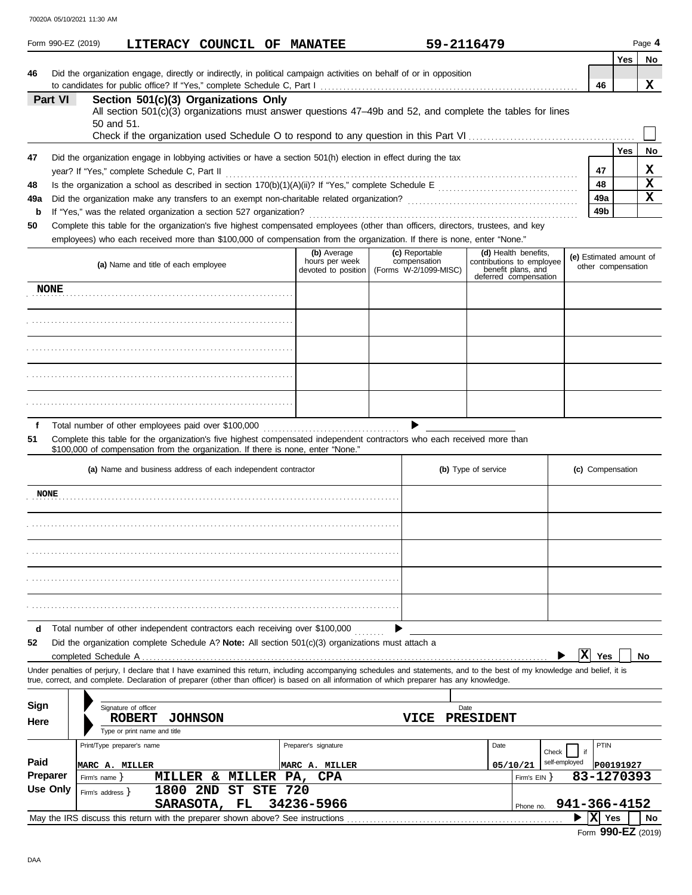|             | Form 990-EZ (2019)                                                 | LITERACY COUNCIL OF MANATEE                                                                                                                                                                                                                                                                                              |                  |                                                      |                                                         |      | 59-2116479                                                                                       |                                               |           | Page 4           |
|-------------|--------------------------------------------------------------------|--------------------------------------------------------------------------------------------------------------------------------------------------------------------------------------------------------------------------------------------------------------------------------------------------------------------------|------------------|------------------------------------------------------|---------------------------------------------------------|------|--------------------------------------------------------------------------------------------------|-----------------------------------------------|-----------|------------------|
| 46          |                                                                    | Did the organization engage, directly or indirectly, in political campaign activities on behalf of or in opposition                                                                                                                                                                                                      |                  |                                                      |                                                         |      |                                                                                                  |                                               | Yes       | No               |
|             | Part VI                                                            | Section 501(c)(3) Organizations Only<br>All section 501(c)(3) organizations must answer questions 47-49b and 52, and complete the tables for lines<br>50 and 51.                                                                                                                                                         |                  |                                                      |                                                         |      |                                                                                                  | 46                                            |           | x                |
| 47          |                                                                    | Did the organization engage in lobbying activities or have a section 501(h) election in effect during the tax                                                                                                                                                                                                            |                  |                                                      |                                                         |      |                                                                                                  |                                               | Yes       | No               |
|             |                                                                    | year? If "Yes," complete Schedule C, Part II                                                                                                                                                                                                                                                                             |                  |                                                      |                                                         |      |                                                                                                  | 47                                            |           | X<br>$\mathbf x$ |
| 48<br>49a   |                                                                    |                                                                                                                                                                                                                                                                                                                          |                  |                                                      |                                                         |      |                                                                                                  | 48<br>49a                                     |           | $\mathbf x$      |
| b           | If "Yes," was the related organization a section 527 organization? |                                                                                                                                                                                                                                                                                                                          |                  |                                                      |                                                         |      | 49b                                                                                              |                                               |           |                  |
| 50          |                                                                    | Complete this table for the organization's five highest compensated employees (other than officers, directors, trustees, and key                                                                                                                                                                                         |                  |                                                      |                                                         |      |                                                                                                  |                                               |           |                  |
|             |                                                                    | employees) who each received more than \$100,000 of compensation from the organization. If there is none, enter "None."                                                                                                                                                                                                  |                  |                                                      |                                                         |      |                                                                                                  |                                               |           |                  |
|             |                                                                    | (a) Name and title of each employee                                                                                                                                                                                                                                                                                      |                  | (b) Average<br>hours per week<br>devoted to position | (c) Reportable<br>compensation<br>(Forms W-2/1099-MISC) |      | (d) Health benefits.<br>contributions to employee<br>benefit plans, and<br>deferred compensation | (e) Estimated amount of<br>other compensation |           |                  |
|             | <b>NONE</b>                                                        |                                                                                                                                                                                                                                                                                                                          |                  |                                                      |                                                         |      |                                                                                                  |                                               |           |                  |
|             |                                                                    |                                                                                                                                                                                                                                                                                                                          |                  |                                                      |                                                         |      |                                                                                                  |                                               |           |                  |
|             |                                                                    |                                                                                                                                                                                                                                                                                                                          |                  |                                                      |                                                         |      |                                                                                                  |                                               |           |                  |
|             |                                                                    |                                                                                                                                                                                                                                                                                                                          |                  |                                                      |                                                         |      |                                                                                                  |                                               |           |                  |
|             |                                                                    |                                                                                                                                                                                                                                                                                                                          |                  |                                                      |                                                         |      |                                                                                                  |                                               |           |                  |
| f<br>51     |                                                                    | Total number of other employees paid over \$100,000<br>Complete this table for the organization's five highest compensated independent contractors who each received more than<br>\$100,000 of compensation from the organization. If there is none, enter "None."                                                       |                  |                                                      |                                                         |      |                                                                                                  |                                               |           |                  |
|             |                                                                    | (a) Name and business address of each independent contractor                                                                                                                                                                                                                                                             |                  |                                                      |                                                         |      | (b) Type of service                                                                              | (c) Compensation                              |           |                  |
| <b>NONE</b> |                                                                    |                                                                                                                                                                                                                                                                                                                          |                  |                                                      |                                                         |      |                                                                                                  |                                               |           |                  |
|             |                                                                    |                                                                                                                                                                                                                                                                                                                          |                  |                                                      |                                                         |      |                                                                                                  |                                               |           |                  |
|             |                                                                    |                                                                                                                                                                                                                                                                                                                          |                  |                                                      |                                                         |      |                                                                                                  |                                               |           |                  |
|             |                                                                    |                                                                                                                                                                                                                                                                                                                          |                  |                                                      |                                                         |      |                                                                                                  |                                               |           |                  |
|             |                                                                    |                                                                                                                                                                                                                                                                                                                          |                  |                                                      |                                                         |      |                                                                                                  |                                               |           |                  |
| d<br>52     |                                                                    | Total number of other independent contractors each receiving over \$100,000<br>Did the organization complete Schedule A? <b>Note:</b> All section $501(c)(3)$ organizations must attach a                                                                                                                                |                  |                                                      |                                                         |      |                                                                                                  | x<br>Yes                                      |           | No               |
|             |                                                                    | Under penalties of perjury, I declare that I have examined this return, including accompanying schedules and statements, and to the best of my knowledge and belief, it is<br>true, correct, and complete. Declaration of preparer (other than officer) is based on all information of which preparer has any knowledge. |                  |                                                      |                                                         |      |                                                                                                  |                                               |           |                  |
| Sign        |                                                                    | Signature of officer                                                                                                                                                                                                                                                                                                     |                  |                                                      |                                                         | Date |                                                                                                  |                                               |           |                  |
| Here        |                                                                    | <b>ROBERT</b><br><b>JOHNSON</b>                                                                                                                                                                                                                                                                                          |                  |                                                      | <b>VICE</b>                                             |      | <b>PRESIDENT</b>                                                                                 |                                               |           |                  |
|             |                                                                    | Type or print name and title<br>Print/Type preparer's name                                                                                                                                                                                                                                                               |                  | Preparer's signature                                 |                                                         |      | Date<br>Check                                                                                    | <b>PTIN</b>                                   |           |                  |
| Paid        |                                                                    | MARC A. MILLER                                                                                                                                                                                                                                                                                                           |                  | MARC A. MILLER                                       |                                                         |      | 05/10/21                                                                                         | self-employed                                 | P00191927 |                  |
| Preparer    |                                                                    | MILLER &<br>Firm's name $\}$                                                                                                                                                                                                                                                                                             | <b>MILLER</b>    | PA, CPA                                              |                                                         |      | Firm's $EIN$ }                                                                                   | 83-1270393                                    |           |                  |
|             | <b>Use Only</b>                                                    | 1800 2ND<br>Firm's address $\}$<br>SARASOTA, FL                                                                                                                                                                                                                                                                          | <b>STE</b><br>ST | 720<br>34236-5966                                    |                                                         |      | Phone no.                                                                                        | 941-366-4152                                  |           |                  |
|             |                                                                    | May the IRS discuss this return with the preparer shown above? See instructions                                                                                                                                                                                                                                          |                  |                                                      |                                                         |      |                                                                                                  | $\mathbf{x}$                                  | Yes       | No               |

Form **990-EZ** (2019)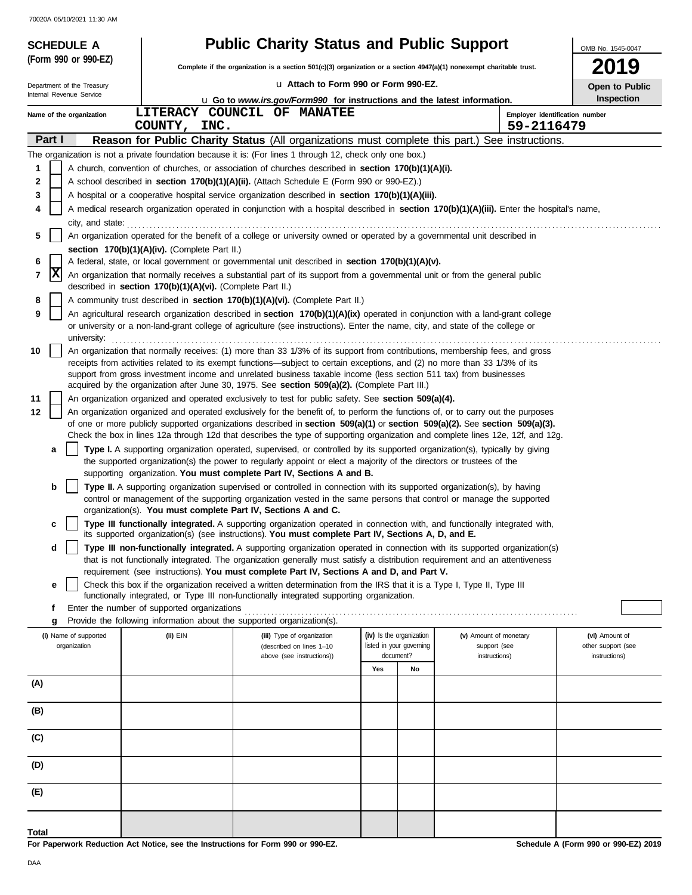| <b>SCHEDULE A</b>                     |                                                                                                                                                 | <b>Public Charity Status and Public Support</b>                                                                                                                                                                                                                |                                                      |    |                                              | OMB No. 1545-0047                    |  |  |  |
|---------------------------------------|-------------------------------------------------------------------------------------------------------------------------------------------------|----------------------------------------------------------------------------------------------------------------------------------------------------------------------------------------------------------------------------------------------------------------|------------------------------------------------------|----|----------------------------------------------|--------------------------------------|--|--|--|
| (Form 990 or 990-EZ)                  |                                                                                                                                                 | Complete if the organization is a section 501(c)(3) organization or a section 4947(a)(1) nonexempt charitable trust.                                                                                                                                           |                                                      |    |                                              | 2019                                 |  |  |  |
| Department of the Treasury            |                                                                                                                                                 | La Attach to Form 990 or Form 990-EZ.                                                                                                                                                                                                                          |                                                      |    |                                              | Open to Public                       |  |  |  |
| Internal Revenue Service              |                                                                                                                                                 | <b>u</b> Go to www.irs.gov/Form990 for instructions and the latest information.                                                                                                                                                                                |                                                      |    |                                              | Inspection                           |  |  |  |
| Name of the organization              | COUNTY,<br>INC.                                                                                                                                 | LITERACY COUNCIL OF MANATEE                                                                                                                                                                                                                                    |                                                      |    | Employer identification number<br>59-2116479 |                                      |  |  |  |
| Part I                                |                                                                                                                                                 | Reason for Public Charity Status (All organizations must complete this part.) See instructions.                                                                                                                                                                |                                                      |    |                                              |                                      |  |  |  |
|                                       |                                                                                                                                                 | The organization is not a private foundation because it is: (For lines 1 through 12, check only one box.)                                                                                                                                                      |                                                      |    |                                              |                                      |  |  |  |
| 1                                     |                                                                                                                                                 | A church, convention of churches, or association of churches described in section 170(b)(1)(A)(i).                                                                                                                                                             |                                                      |    |                                              |                                      |  |  |  |
| 2                                     |                                                                                                                                                 | A school described in <b>section 170(b)(1)(A)(ii).</b> (Attach Schedule E (Form 990 or 990-EZ).)                                                                                                                                                               |                                                      |    |                                              |                                      |  |  |  |
| 3                                     | A hospital or a cooperative hospital service organization described in section 170(b)(1)(A)(iii).                                               |                                                                                                                                                                                                                                                                |                                                      |    |                                              |                                      |  |  |  |
| city, and state:                      | A medical research organization operated in conjunction with a hospital described in section 170(b)(1)(A)(iii). Enter the hospital's name,<br>4 |                                                                                                                                                                                                                                                                |                                                      |    |                                              |                                      |  |  |  |
| 5                                     |                                                                                                                                                 | An organization operated for the benefit of a college or university owned or operated by a governmental unit described in                                                                                                                                      |                                                      |    |                                              |                                      |  |  |  |
|                                       | section 170(b)(1)(A)(iv). (Complete Part II.)                                                                                                   |                                                                                                                                                                                                                                                                |                                                      |    |                                              |                                      |  |  |  |
| 6                                     |                                                                                                                                                 | A federal, state, or local government or governmental unit described in section 170(b)(1)(A)(v).                                                                                                                                                               |                                                      |    |                                              |                                      |  |  |  |
| x<br>7                                | described in section 170(b)(1)(A)(vi). (Complete Part II.)                                                                                      | An organization that normally receives a substantial part of its support from a governmental unit or from the general public                                                                                                                                   |                                                      |    |                                              |                                      |  |  |  |
| 8                                     |                                                                                                                                                 | A community trust described in section 170(b)(1)(A)(vi). (Complete Part II.)                                                                                                                                                                                   |                                                      |    |                                              |                                      |  |  |  |
| 9                                     |                                                                                                                                                 | An agricultural research organization described in section 170(b)(1)(A)(ix) operated in conjunction with a land-grant college                                                                                                                                  |                                                      |    |                                              |                                      |  |  |  |
|                                       |                                                                                                                                                 | or university or a non-land-grant college of agriculture (see instructions). Enter the name, city, and state of the college or                                                                                                                                 |                                                      |    |                                              |                                      |  |  |  |
| university:<br>10                     |                                                                                                                                                 | An organization that normally receives: (1) more than 33 1/3% of its support from contributions, membership fees, and gross                                                                                                                                    |                                                      |    |                                              |                                      |  |  |  |
|                                       |                                                                                                                                                 | receipts from activities related to its exempt functions—subject to certain exceptions, and (2) no more than 33 1/3% of its                                                                                                                                    |                                                      |    |                                              |                                      |  |  |  |
|                                       |                                                                                                                                                 | support from gross investment income and unrelated business taxable income (less section 511 tax) from businesses<br>acquired by the organization after June 30, 1975. See section 509(a)(2). (Complete Part III.)                                             |                                                      |    |                                              |                                      |  |  |  |
| 11                                    |                                                                                                                                                 | An organization organized and operated exclusively to test for public safety. See section 509(a)(4).                                                                                                                                                           |                                                      |    |                                              |                                      |  |  |  |
| 12                                    |                                                                                                                                                 | An organization organized and operated exclusively for the benefit of, to perform the functions of, or to carry out the purposes                                                                                                                               |                                                      |    |                                              |                                      |  |  |  |
|                                       |                                                                                                                                                 | of one or more publicly supported organizations described in section $509(a)(1)$ or section $509(a)(2)$ . See section $509(a)(3)$ .                                                                                                                            |                                                      |    |                                              |                                      |  |  |  |
| a                                     |                                                                                                                                                 | Check the box in lines 12a through 12d that describes the type of supporting organization and complete lines 12e, 12f, and 12g.<br>Type I. A supporting organization operated, supervised, or controlled by its supported organization(s), typically by giving |                                                      |    |                                              |                                      |  |  |  |
|                                       |                                                                                                                                                 | the supported organization(s) the power to regularly appoint or elect a majority of the directors or trustees of the                                                                                                                                           |                                                      |    |                                              |                                      |  |  |  |
|                                       |                                                                                                                                                 | supporting organization. You must complete Part IV, Sections A and B.                                                                                                                                                                                          |                                                      |    |                                              |                                      |  |  |  |
| b                                     |                                                                                                                                                 | Type II. A supporting organization supervised or controlled in connection with its supported organization(s), by having<br>control or management of the supporting organization vested in the same persons that control or manage the supported                |                                                      |    |                                              |                                      |  |  |  |
|                                       |                                                                                                                                                 | organization(s). You must complete Part IV, Sections A and C.                                                                                                                                                                                                  |                                                      |    |                                              |                                      |  |  |  |
| c                                     |                                                                                                                                                 | Type III functionally integrated. A supporting organization operated in connection with, and functionally integrated with,                                                                                                                                     |                                                      |    |                                              |                                      |  |  |  |
| d                                     |                                                                                                                                                 | its supported organization(s) (see instructions). You must complete Part IV, Sections A, D, and E.<br>Type III non-functionally integrated. A supporting organization operated in connection with its supported organization(s)                                |                                                      |    |                                              |                                      |  |  |  |
|                                       |                                                                                                                                                 | that is not functionally integrated. The organization generally must satisfy a distribution requirement and an attentiveness                                                                                                                                   |                                                      |    |                                              |                                      |  |  |  |
|                                       |                                                                                                                                                 | requirement (see instructions). You must complete Part IV, Sections A and D, and Part V.                                                                                                                                                                       |                                                      |    |                                              |                                      |  |  |  |
| е                                     |                                                                                                                                                 | Check this box if the organization received a written determination from the IRS that it is a Type I, Type II, Type III<br>functionally integrated, or Type III non-functionally integrated supporting organization.                                           |                                                      |    |                                              |                                      |  |  |  |
| f                                     | Enter the number of supported organizations                                                                                                     |                                                                                                                                                                                                                                                                |                                                      |    |                                              |                                      |  |  |  |
| g                                     |                                                                                                                                                 | Provide the following information about the supported organization(s).                                                                                                                                                                                         |                                                      |    |                                              |                                      |  |  |  |
| (i) Name of supported<br>organization | (ii) EIN                                                                                                                                        | (iii) Type of organization<br>(described on lines 1-10                                                                                                                                                                                                         | (iv) Is the organization<br>listed in your governing |    | (v) Amount of monetary<br>support (see       | (vi) Amount of<br>other support (see |  |  |  |
|                                       |                                                                                                                                                 | above (see instructions))                                                                                                                                                                                                                                      | document?                                            |    | instructions)                                | instructions)                        |  |  |  |
|                                       |                                                                                                                                                 |                                                                                                                                                                                                                                                                | Yes                                                  | No |                                              |                                      |  |  |  |
| (A)                                   |                                                                                                                                                 |                                                                                                                                                                                                                                                                |                                                      |    |                                              |                                      |  |  |  |
| (B)                                   |                                                                                                                                                 |                                                                                                                                                                                                                                                                |                                                      |    |                                              |                                      |  |  |  |
|                                       |                                                                                                                                                 |                                                                                                                                                                                                                                                                |                                                      |    |                                              |                                      |  |  |  |
| (C)                                   |                                                                                                                                                 |                                                                                                                                                                                                                                                                |                                                      |    |                                              |                                      |  |  |  |
| (D)                                   |                                                                                                                                                 |                                                                                                                                                                                                                                                                |                                                      |    |                                              |                                      |  |  |  |
| (E)                                   |                                                                                                                                                 |                                                                                                                                                                                                                                                                |                                                      |    |                                              |                                      |  |  |  |
| Total                                 |                                                                                                                                                 |                                                                                                                                                                                                                                                                |                                                      |    |                                              |                                      |  |  |  |
|                                       |                                                                                                                                                 |                                                                                                                                                                                                                                                                |                                                      |    |                                              | $A$ (Faxed 000 as 000 EZ) 2040       |  |  |  |

**For Paperwork Reduction Act Notice, see the Instructions for Form 990 or 990-EZ.**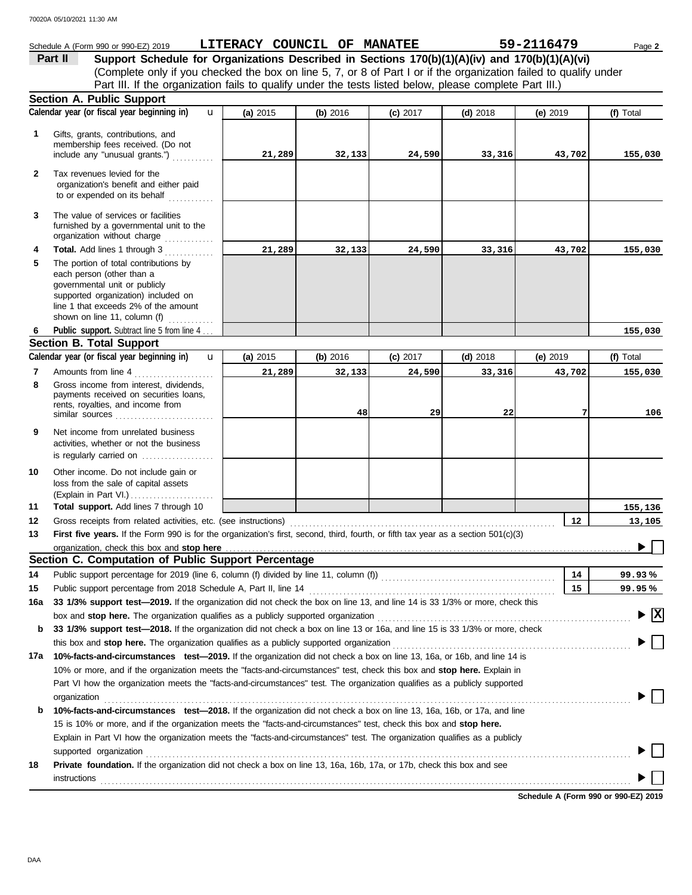## 70020A 05/10/2021 11:30 AMSchedule A (Form 990 or 990-EZ) 2019 **LITERACY COUNCIL OF MANATEE** 59-2116479 Page 2 **Part II Support Schedule for Organizations Described in Sections 170(b)(1)(A)(iv) and 170(b)(1)(A)(vi)** (Complete only if you checked the box on line 5, 7, or 8 of Part I or if the organization failed to qualify under Part III. If the organization fails to qualify under the tests listed below, please complete Part III.) **Section A. Public Support Calendar year (or fiscal year beginning in) (f)** Total u **(a)** 2015 **(b)** 2016 **(c)** 2017 **(d)** 2018 **(e)** 2019 Gifts, grants, contributions, and **1** membership fees received. (Do not include any "unusual grants.") . . . . . . . . . . . **21,289 32,133 24,590 33,316 43,702 155,030 2** Tax revenues levied for the organization's benefit and either paid to or expended on its behalf ............ **3** The value of services or facilities furnished by a governmental unit to the organization without charge .............. **Total.** Add lines 1 through 3 . . . . . . . . . . . . . **4 21,289 32,133 24,590 33,316 43,702 155,030 5** The portion of total contributions by each person (other than a governmental unit or publicly supported organization) included on line 1 that exceeds 2% of the amount shown on line 11, column (f)  $\ldots$ Public support. Subtract line 5 from line 4. **155,030 6 Section B. Total Support Calendar year (or fiscal year beginning in) (f)** Total u **(b)** 2016 **(c)** 2017 **(d)** 2018 **(e)** 2019 **(a)** 2015 Amounts from line 4 . . . . . . . . . . . . . . . . . . . . . **7 21,289 32,133 24,590 33,316 43,702 155,030** Gross income from interest, dividends, **8** payments received on securities loans. rents, royalties, and income from similar sources . . . . . . . . . . . . . . . . . . . . . . . . . . **48 29 22 7 106 9** Net income from unrelated business activities, whether or not the business is regularly carried on .................. **10** Other income. Do not include gain or loss from the sale of capital assets (Explain in Part VI.) . . . . . . . . . . . . . . . . . . . . . . **11 Total support.** Add lines 7 through 10 **155,136 12 12 13,105** Gross receipts from related activities, etc. (see instructions) . . . . . . . . . . . . . . . . . . . . . . . . . . . . . . . . . . . . . . . . . . . . . . . . . . . . . . . . . . . . . . . . . . . . . . **13** First five years. If the Form 990 is for the organization's first, second, third, fourth, or fifth tax year as a section 501(c)(3) organization, check this box and stop here ь **Section C. Computation of Public Support Percentage 14** Public support percentage for 2019 (line 6, column (f) divided by line 11, column (f)) . . . . . . . . . . . . . . . . . . . . . . . . . . . . . . . . . . . . . . . . . . . . . . **14 % 99.93** Public support percentage from 2018 Schedule A, Part II, line 14 . . . . . . . . . . . . . . . . . . . . . . . . . . . . . . . . . . . . . . . . . . . . . . . . . . . . . . . . . . . . . . . . . **15 15 % 99.95 16a 33 1/3% support test—2019.** If the organization did not check the box on line 13, and line 14 is 33 1/3% or more, check this box and **stop here.** The organization qualifies as a publicly supported organization . . . . . . . . . . . . . . . . . . . . . . . . . . . . . . . . . . . . . . . . . . . . . . . . . . . . . . . . . . . . . . . . . . . **X** ▶ **b 33 1/3% support test—2018.** If the organization did not check a box on line 13 or 16a, and line 15 is 33 1/3% or more, check this box and **stop here.** The organization qualifies as a publicly supported organization . . . . . . . . . . . . . . . . . . . . . . . . . . . . . . . . . . . . . . . . . . . . . . . . . . . . . . . . . . . . . . .

| 17a | 10%-facts-and-circumstances test-2019. If the organization did not check a box on line 13, 16a, or 16b, and line 14 is       |
|-----|------------------------------------------------------------------------------------------------------------------------------|
|     | 10% or more, and if the organization meets the "facts-and-circumstances" test, check this box and stop here. Explain in      |
|     | Part VI how the organization meets the "facts-and-circumstances" test. The organization qualifies as a publicly supported    |
|     | organization                                                                                                                 |
| b   | 10%-facts-and-circumstances test-2018. If the organization did not check a box on line 13, 16a, 16b, or 17a, and line        |
|     | 15 is 10% or more, and if the organization meets the "facts-and-circumstances" test, check this box and stop here.           |
|     | Explain in Part VI how the organization meets the "facts-and-circumstances" test. The organization qualifies as a publicly   |
|     | supported organization                                                                                                       |
| 18  | <b>Private foundation.</b> If the organization did not check a box on line 13, 16a, 16b, 17a, or 17b, check this box and see |
|     | instructions                                                                                                                 |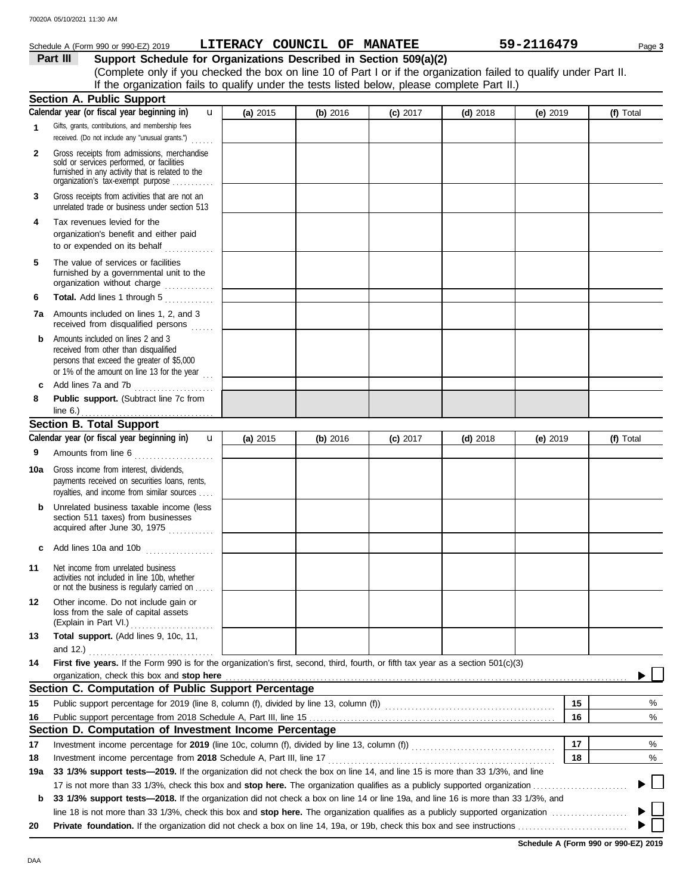## Schedule A (Form 990 or 990-EZ) 2019 **LITERACY COUNCIL OF MANATEE** 59-2116479 Page 3

**Part III** Support Schedule for Organizations Described in Section 509(a)(2) (Complete only if you checked the box on line 10 of Part I or if the organization failed to qualify under Part II. If the organization fails to qualify under the tests listed below, please complete Part II.)

|     | <b>Section A. Public Support</b>                                                                                                                                                  |            |            |            |            |            |           |
|-----|-----------------------------------------------------------------------------------------------------------------------------------------------------------------------------------|------------|------------|------------|------------|------------|-----------|
|     | Calendar year (or fiscal year beginning in)<br>u                                                                                                                                  | (a) $2015$ | $(b)$ 2016 | $(c)$ 2017 | $(d)$ 2018 | $(e)$ 2019 | (f) Total |
| 1   | Gifts, grants, contributions, and membership fees<br>received. (Do not include any "unusual grants.")                                                                             |            |            |            |            |            |           |
| 2   | Gross receipts from admissions, merchandise<br>sold or services performed, or facilities<br>furnished in any activity that is related to the<br>organization's tax-exempt purpose |            |            |            |            |            |           |
| 3   | Gross receipts from activities that are not an<br>unrelated trade or business under section 513                                                                                   |            |            |            |            |            |           |
| 4   | Tax revenues levied for the<br>organization's benefit and either paid<br>to or expended on its behalf                                                                             |            |            |            |            |            |           |
| 5   | The value of services or facilities<br>furnished by a governmental unit to the<br>organization without charge                                                                     |            |            |            |            |            |           |
| 6   | Total. Add lines 1 through 5                                                                                                                                                      |            |            |            |            |            |           |
| 7a  | Amounts included on lines 1, 2, and 3<br>received from disqualified persons                                                                                                       |            |            |            |            |            |           |
| b   | Amounts included on lines 2 and 3<br>received from other than disqualified<br>persons that exceed the greater of \$5,000<br>or 1% of the amount on line 13 for the year $\ldots$  |            |            |            |            |            |           |
| c   | Add lines 7a and 7b                                                                                                                                                               |            |            |            |            |            |           |
| 8   | Public support. (Subtract line 7c from                                                                                                                                            |            |            |            |            |            |           |
|     | line $6.$ )<br><b>Section B. Total Support</b>                                                                                                                                    |            |            |            |            |            |           |
|     | Calendar year (or fiscal year beginning in)<br>$\mathbf{u}$                                                                                                                       | (a) $2015$ | $(b)$ 2016 | $(c)$ 2017 | $(d)$ 2018 | (e) $2019$ | (f) Total |
| 9   |                                                                                                                                                                                   |            |            |            |            |            |           |
|     | Amounts from line 6                                                                                                                                                               |            |            |            |            |            |           |
| 10a | Gross income from interest, dividends,<br>payments received on securities loans, rents,<br>royalties, and income from similar sources                                             |            |            |            |            |            |           |
|     | Unrelated business taxable income (less<br>section 511 taxes) from businesses<br>acquired after June 30, 1975                                                                     |            |            |            |            |            |           |
| c   | Add lines 10a and 10b                                                                                                                                                             |            |            |            |            |            |           |
| 11  | Net income from unrelated business<br>activities not included in line 10b, whether<br>or not the business is regularly carried on                                                 |            |            |            |            |            |           |
| 12  | Other income. Do not include gain or<br>loss from the sale of capital assets<br>(Explain in Part VI.)                                                                             |            |            |            |            |            |           |
| 13  | Total support. (Add lines 9, 10c, 11,                                                                                                                                             |            |            |            |            |            |           |
| 14  | and 12.)<br>First five years. If the Form 990 is for the organization's first, second, third, fourth, or fifth tax year as a section 501(c)(3)                                    |            |            |            |            |            |           |
|     | organization, check this box and stop here                                                                                                                                        |            |            |            |            |            |           |
|     | Section C. Computation of Public Support Percentage                                                                                                                               |            |            |            |            |            |           |
| 15  | Public support percentage for 2019 (line 8, column (f), divided by line 13, column (f)) [[[[[[[[[[[[[[[[[[[[[                                                                     |            |            |            |            | 15         | %         |
| 16  |                                                                                                                                                                                   |            |            |            |            | 16         | %         |
|     | Section D. Computation of Investment Income Percentage                                                                                                                            |            |            |            |            |            |           |
| 17  |                                                                                                                                                                                   |            |            |            |            | 17         | %         |
| 18  | Investment income percentage from 2018 Schedule A, Part III, line 17                                                                                                              |            |            |            |            | 18         | %         |
| 19a | 33 1/3% support tests-2019. If the organization did not check the box on line 14, and line 15 is more than 33 1/3%, and line                                                      |            |            |            |            |            |           |
|     |                                                                                                                                                                                   |            |            |            |            |            |           |
| b   | 33 1/3% support tests-2018. If the organization did not check a box on line 14 or line 19a, and line 16 is more than 33 1/3%, and                                                 |            |            |            |            |            |           |
|     |                                                                                                                                                                                   |            |            |            |            |            |           |
| 20  |                                                                                                                                                                                   |            |            |            |            |            |           |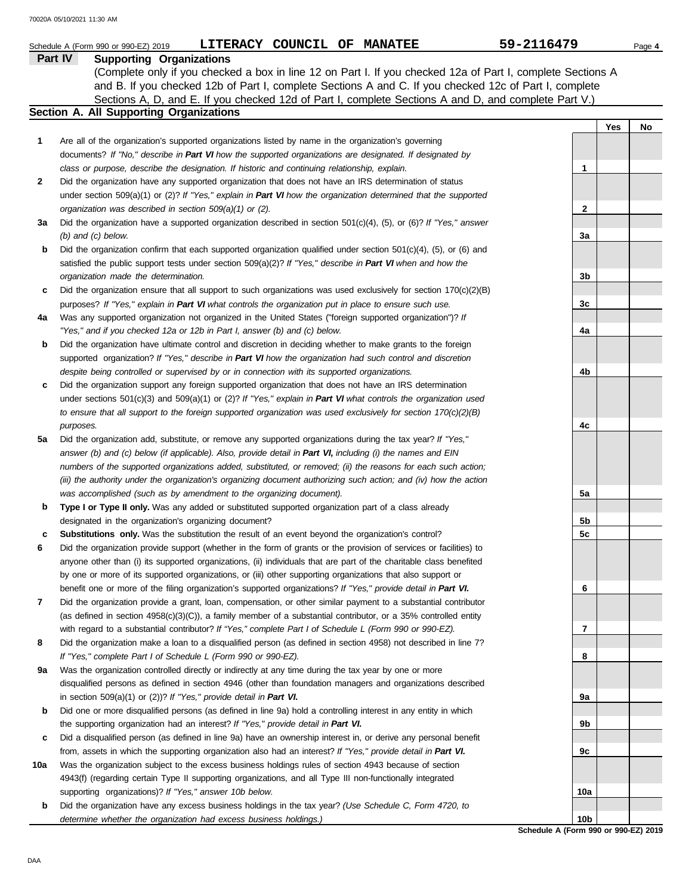|     | LITERACY COUNCIL OF MANATEE<br>Schedule A (Form 990 or 990-EZ) 2019                                                                                                                                  | 59-2116479      | Page 4 |
|-----|------------------------------------------------------------------------------------------------------------------------------------------------------------------------------------------------------|-----------------|--------|
|     | <b>Supporting Organizations</b><br>Part IV                                                                                                                                                           |                 |        |
|     | (Complete only if you checked a box in line 12 on Part I. If you checked 12a of Part I, complete Sections A                                                                                          |                 |        |
|     | and B. If you checked 12b of Part I, complete Sections A and C. If you checked 12c of Part I, complete                                                                                               |                 |        |
|     | Sections A, D, and E. If you checked 12d of Part I, complete Sections A and D, and complete Part V.)                                                                                                 |                 |        |
|     | Section A. All Supporting Organizations                                                                                                                                                              |                 |        |
|     |                                                                                                                                                                                                      | Yes             | No     |
| 1   | Are all of the organization's supported organizations listed by name in the organization's governing                                                                                                 |                 |        |
|     | documents? If "No," describe in Part VI how the supported organizations are designated. If designated by                                                                                             |                 |        |
|     | class or purpose, describe the designation. If historic and continuing relationship, explain.                                                                                                        | 1               |        |
| 2   | Did the organization have any supported organization that does not have an IRS determination of status                                                                                               |                 |        |
|     | under section 509(a)(1) or (2)? If "Yes," explain in Part VI how the organization determined that the supported                                                                                      |                 |        |
|     | organization was described in section 509(a)(1) or (2).                                                                                                                                              | $\mathbf{2}$    |        |
| За  | Did the organization have a supported organization described in section $501(c)(4)$ , (5), or (6)? If "Yes," answer                                                                                  |                 |        |
|     | $(b)$ and $(c)$ below.                                                                                                                                                                               | За              |        |
| b   | Did the organization confirm that each supported organization qualified under section $501(c)(4)$ , (5), or (6) and                                                                                  |                 |        |
|     | satisfied the public support tests under section $509(a)(2)?$ If "Yes," describe in Part VI when and how the                                                                                         |                 |        |
|     | organization made the determination.                                                                                                                                                                 | 3b              |        |
| c   | Did the organization ensure that all support to such organizations was used exclusively for section $170(c)(2)(B)$                                                                                   |                 |        |
|     | purposes? If "Yes," explain in Part VI what controls the organization put in place to ensure such use.                                                                                               | 3c              |        |
| 4а  | Was any supported organization not organized in the United States ("foreign supported organization")? If                                                                                             |                 |        |
|     | "Yes," and if you checked 12a or 12b in Part I, answer (b) and (c) below.                                                                                                                            | 4a              |        |
| b   | Did the organization have ultimate control and discretion in deciding whether to make grants to the foreign                                                                                          |                 |        |
|     | supported organization? If "Yes," describe in Part VI how the organization had such control and discretion                                                                                           |                 |        |
|     | despite being controlled or supervised by or in connection with its supported organizations.                                                                                                         | 4b              |        |
| c   | Did the organization support any foreign supported organization that does not have an IRS determination                                                                                              |                 |        |
|     | under sections $501(c)(3)$ and $509(a)(1)$ or (2)? If "Yes," explain in Part VI what controls the organization used                                                                                  |                 |        |
|     | to ensure that all support to the foreign supported organization was used exclusively for section $170(c)(2)(B)$                                                                                     |                 |        |
|     | purposes.                                                                                                                                                                                            | 4с              |        |
| 5a  | Did the organization add, substitute, or remove any supported organizations during the tax year? If "Yes,"                                                                                           |                 |        |
|     | answer (b) and (c) below (if applicable). Also, provide detail in Part VI, including (i) the names and EIN                                                                                           |                 |        |
|     | numbers of the supported organizations added, substituted, or removed; (ii) the reasons for each such action;                                                                                        |                 |        |
|     | (iii) the authority under the organization's organizing document authorizing such action; and (iv) how the action                                                                                    |                 |        |
|     | was accomplished (such as by amendment to the organizing document).                                                                                                                                  | 5a              |        |
| b   | Type I or Type II only. Was any added or substituted supported organization part of a class already                                                                                                  |                 |        |
|     | designated in the organization's organizing document?                                                                                                                                                | 5b              |        |
| c   | <b>Substitutions only.</b> Was the substitution the result of an event beyond the organization's control?                                                                                            | 5c              |        |
| 6   | Did the organization provide support (whether in the form of grants or the provision of services or facilities) to                                                                                   |                 |        |
|     | anyone other than (i) its supported organizations, (ii) individuals that are part of the charitable class benefited                                                                                  |                 |        |
|     | by one or more of its supported organizations, or (iii) other supporting organizations that also support or                                                                                          |                 |        |
|     | benefit one or more of the filing organization's supported organizations? If "Yes," provide detail in Part VI.                                                                                       | 6               |        |
| 7   | Did the organization provide a grant, loan, compensation, or other similar payment to a substantial contributor                                                                                      |                 |        |
|     | (as defined in section $4958(c)(3)(C)$ ), a family member of a substantial contributor, or a 35% controlled entity                                                                                   |                 |        |
|     | with regard to a substantial contributor? If "Yes," complete Part I of Schedule L (Form 990 or 990-EZ).                                                                                              | 7               |        |
| 8   | Did the organization make a loan to a disqualified person (as defined in section 4958) not described in line 7?<br>If "Yes," complete Part I of Schedule L (Form 990 or 990-EZ).                     | 8               |        |
| 9а  | Was the organization controlled directly or indirectly at any time during the tax year by one or more                                                                                                |                 |        |
|     | disqualified persons as defined in section 4946 (other than foundation managers and organizations described                                                                                          |                 |        |
|     | in section 509(a)(1) or (2))? If "Yes," provide detail in Part VI.                                                                                                                                   | 9a              |        |
|     |                                                                                                                                                                                                      |                 |        |
| b   | Did one or more disqualified persons (as defined in line 9a) hold a controlling interest in any entity in which<br>the supporting organization had an interest? If "Yes," provide detail in Part VI. | 9b              |        |
|     | Did a disqualified person (as defined in line 9a) have an ownership interest in, or derive any personal benefit                                                                                      |                 |        |
| c   | from, assets in which the supporting organization also had an interest? If "Yes," provide detail in Part VI.                                                                                         | 9c              |        |
| 10a | Was the organization subject to the excess business holdings rules of section 4943 because of section                                                                                                |                 |        |
|     | 4943(f) (regarding certain Type II supporting organizations, and all Type III non-functionally integrated                                                                                            |                 |        |
|     | supporting organizations)? If "Yes," answer 10b below.                                                                                                                                               | 10a             |        |
| b   | Did the organization have any excess business holdings in the tax year? (Use Schedule C, Form 4720, to                                                                                               |                 |        |
|     | determine whether the organization had excess business holdings.)                                                                                                                                    | 10 <sub>b</sub> |        |
|     |                                                                                                                                                                                                      |                 |        |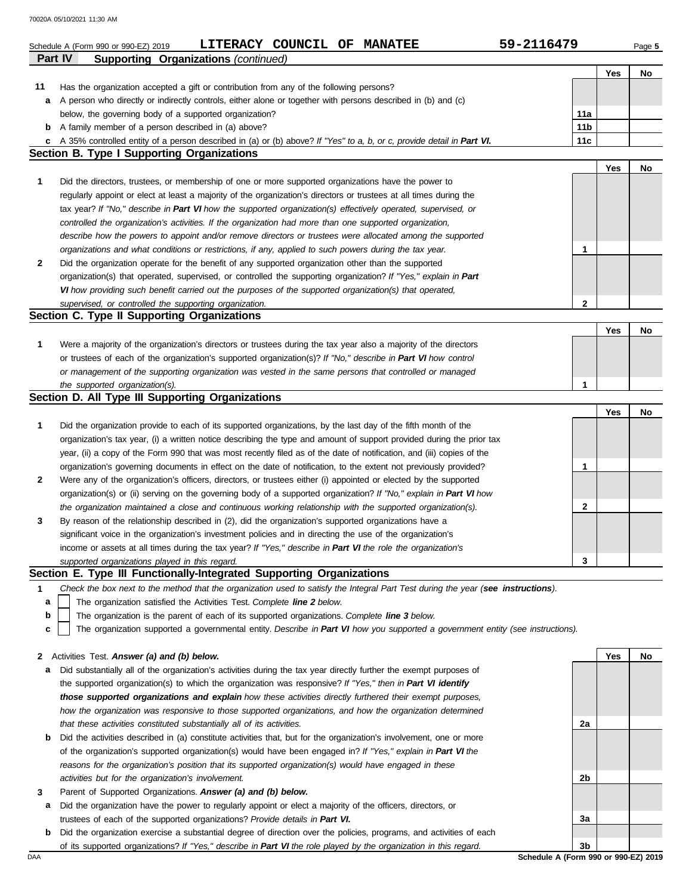|    | 59-2116479<br>LITERACY COUNCIL OF MANATEE<br>Schedule A (Form 990 or 990-EZ) 2019                                                                                          |                        |     | Page 5 |
|----|----------------------------------------------------------------------------------------------------------------------------------------------------------------------------|------------------------|-----|--------|
|    | Part IV<br>Supporting Organizations (continued)                                                                                                                            |                        |     |        |
|    |                                                                                                                                                                            |                        | Yes | No     |
| 11 | Has the organization accepted a gift or contribution from any of the following persons?                                                                                    |                        |     |        |
| а  | A person who directly or indirectly controls, either alone or together with persons described in (b) and (c)                                                               |                        |     |        |
|    | below, the governing body of a supported organization?                                                                                                                     | 11a                    |     |        |
| b  | A family member of a person described in (a) above?                                                                                                                        | 11 <sub>b</sub><br>11c |     |        |
| c  | A 35% controlled entity of a person described in (a) or (b) above? If "Yes" to a, b, or c, provide detail in Part VI.<br><b>Section B. Type I Supporting Organizations</b> |                        |     |        |
|    |                                                                                                                                                                            |                        | Yes | No     |
| 1  | Did the directors, trustees, or membership of one or more supported organizations have the power to                                                                        |                        |     |        |
|    | regularly appoint or elect at least a majority of the organization's directors or trustees at all times during the                                                         |                        |     |        |
|    | tax year? If "No," describe in Part VI how the supported organization(s) effectively operated, supervised, or                                                              |                        |     |        |
|    | controlled the organization's activities. If the organization had more than one supported organization,                                                                    |                        |     |        |
|    | describe how the powers to appoint and/or remove directors or trustees were allocated among the supported                                                                  |                        |     |        |
|    | organizations and what conditions or restrictions, if any, applied to such powers during the tax year.                                                                     | 1                      |     |        |
| 2  | Did the organization operate for the benefit of any supported organization other than the supported                                                                        |                        |     |        |
|    | organization(s) that operated, supervised, or controlled the supporting organization? If "Yes," explain in Part                                                            |                        |     |        |
|    | VI how providing such benefit carried out the purposes of the supported organization(s) that operated,                                                                     |                        |     |        |
|    | supervised, or controlled the supporting organization.                                                                                                                     | $\mathbf 2$            |     |        |
|    | Section C. Type II Supporting Organizations                                                                                                                                |                        |     |        |
|    |                                                                                                                                                                            |                        | Yes | No     |
| 1  | Were a majority of the organization's directors or trustees during the tax year also a majority of the directors                                                           |                        |     |        |
|    | or trustees of each of the organization's supported organization(s)? If "No," describe in Part VI how control                                                              |                        |     |        |
|    | or management of the supporting organization was vested in the same persons that controlled or managed                                                                     |                        |     |        |
|    | the supported organization(s).                                                                                                                                             | 1                      |     |        |
|    | Section D. All Type III Supporting Organizations                                                                                                                           |                        |     |        |
|    |                                                                                                                                                                            |                        | Yes | No     |
| 1  | Did the organization provide to each of its supported organizations, by the last day of the fifth month of the                                                             |                        |     |        |
|    | organization's tax year, (i) a written notice describing the type and amount of support provided during the prior tax                                                      |                        |     |        |
|    | year, (ii) a copy of the Form 990 that was most recently filed as of the date of notification, and (iii) copies of the                                                     |                        |     |        |
|    | organization's governing documents in effect on the date of notification, to the extent not previously provided?                                                           | 1                      |     |        |
| 2  | Were any of the organization's officers, directors, or trustees either (i) appointed or elected by the supported                                                           |                        |     |        |
|    | organization(s) or (ii) serving on the governing body of a supported organization? If "No," explain in Part VI how                                                         |                        |     |        |
|    | the organization maintained a close and continuous working relationship with the supported organization(s).                                                                | 2                      |     |        |
| 3  | By reason of the relationship described in (2), did the organization's supported organizations have a                                                                      |                        |     |        |
|    | significant voice in the organization's investment policies and in directing the use of the organization's                                                                 |                        |     |        |
|    | income or assets at all times during the tax year? If "Yes," describe in Part VI the role the organization's                                                               |                        |     |        |
|    | supported organizations played in this regard.<br>Section E. Type III Functionally-Integrated Supporting Organizations                                                     | 3                      |     |        |
| 1  | Check the box next to the method that the organization used to satisfy the Integral Part Test during the year (see instructions).                                          |                        |     |        |
| a  | The organization satisfied the Activities Test. Complete line 2 below.                                                                                                     |                        |     |        |
| b  | The organization is the parent of each of its supported organizations. Complete line 3 below.                                                                              |                        |     |        |
| c  | The organization supported a governmental entity. Describe in Part VI how you supported a government entity (see instructions).                                            |                        |     |        |
|    |                                                                                                                                                                            |                        |     |        |
| 2  | Activities Test. Answer (a) and (b) below.                                                                                                                                 |                        | Yes | No     |
| а  | Did substantially all of the organization's activities during the tax year directly further the exempt purposes of                                                         |                        |     |        |
|    | the supported organization(s) to which the organization was responsive? If "Yes," then in Part VI identify                                                                 |                        |     |        |
|    | those supported organizations and explain how these activities directly furthered their exempt purposes,                                                                   |                        |     |        |
|    | how the organization was responsive to those supported organizations, and how the organization determined                                                                  |                        |     |        |
|    | that these activities constituted substantially all of its activities.                                                                                                     | 2a                     |     |        |
| b  | Did the activities described in (a) constitute activities that, but for the organization's involvement, one or more                                                        |                        |     |        |
|    | of the organization's supported organization(s) would have been engaged in? If "Yes," explain in Part VI the                                                               |                        |     |        |
|    | reasons for the organization's position that its supported organization(s) would have engaged in these                                                                     |                        |     |        |
|    | activities but for the organization's involvement.                                                                                                                         | 2b                     |     |        |
| 3  | Parent of Supported Organizations. Answer (a) and (b) below.                                                                                                               |                        |     |        |
| а  | Did the organization have the power to regularly appoint or elect a majority of the officers, directors, or                                                                |                        |     |        |
|    | trustees of each of the supported organizations? Provide details in Part VI.                                                                                               | За                     |     |        |

**b** Did the organization exercise a substantial degree of direction over the policies, programs, and activities of each of its supported organizations? *If "Yes," describe in Part VI the role played by the organization in this regard.*

DAA **Schedule A (Form 990 or 990-EZ) 2019 3b**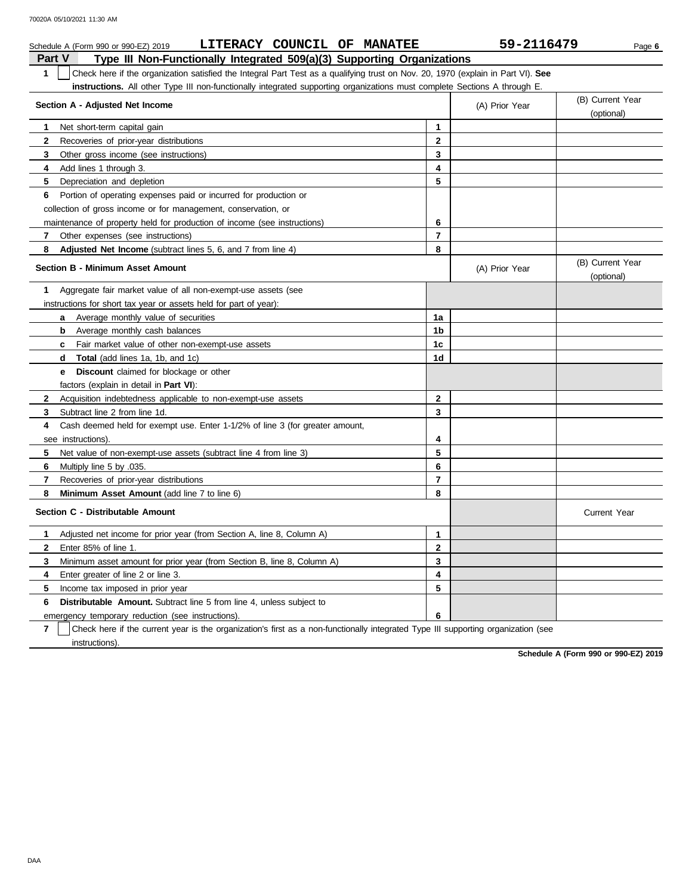|                                                                       | LITERACY COUNCIL OF MANATEE<br>Schedule A (Form 990 or 990-EZ) 2019                                                              |                         | 59-2116479     | Page 6                         |  |  |  |  |  |
|-----------------------------------------------------------------------|----------------------------------------------------------------------------------------------------------------------------------|-------------------------|----------------|--------------------------------|--|--|--|--|--|
| Part V                                                                | Type III Non-Functionally Integrated 509(a)(3) Supporting Organizations                                                          |                         |                |                                |  |  |  |  |  |
| 1                                                                     | Check here if the organization satisfied the Integral Part Test as a qualifying trust on Nov. 20, 1970 (explain in Part VI). See |                         |                |                                |  |  |  |  |  |
|                                                                       | instructions. All other Type III non-functionally integrated supporting organizations must complete Sections A through E.        |                         |                |                                |  |  |  |  |  |
| (B) Current Year<br>Section A - Adjusted Net Income<br>(A) Prior Year |                                                                                                                                  |                         |                |                                |  |  |  |  |  |
|                                                                       |                                                                                                                                  |                         |                | (optional)                     |  |  |  |  |  |
| 1                                                                     | Net short-term capital gain                                                                                                      | 1                       |                |                                |  |  |  |  |  |
| 2                                                                     | Recoveries of prior-year distributions                                                                                           | 2                       |                |                                |  |  |  |  |  |
| 3                                                                     | Other gross income (see instructions)                                                                                            | 3                       |                |                                |  |  |  |  |  |
| 4                                                                     | Add lines 1 through 3.                                                                                                           | 4                       |                |                                |  |  |  |  |  |
| 5                                                                     | Depreciation and depletion                                                                                                       | 5                       |                |                                |  |  |  |  |  |
| 6                                                                     | Portion of operating expenses paid or incurred for production or                                                                 |                         |                |                                |  |  |  |  |  |
|                                                                       | collection of gross income or for management, conservation, or                                                                   |                         |                |                                |  |  |  |  |  |
|                                                                       | maintenance of property held for production of income (see instructions)                                                         | 6                       |                |                                |  |  |  |  |  |
| 7                                                                     | Other expenses (see instructions)                                                                                                | $\overline{7}$          |                |                                |  |  |  |  |  |
| 8                                                                     | <b>Adjusted Net Income</b> (subtract lines 5, 6, and 7 from line 4)                                                              | 8                       |                |                                |  |  |  |  |  |
|                                                                       | <b>Section B - Minimum Asset Amount</b>                                                                                          |                         | (A) Prior Year | (B) Current Year<br>(optional) |  |  |  |  |  |
| 1                                                                     | Aggregate fair market value of all non-exempt-use assets (see                                                                    |                         |                |                                |  |  |  |  |  |
|                                                                       | instructions for short tax year or assets held for part of year):                                                                |                         |                |                                |  |  |  |  |  |
|                                                                       | Average monthly value of securities<br>a                                                                                         | 1a                      |                |                                |  |  |  |  |  |
|                                                                       | Average monthly cash balances<br>b                                                                                               | 1b                      |                |                                |  |  |  |  |  |
|                                                                       | Fair market value of other non-exempt-use assets<br>c                                                                            | 1 <sub>c</sub>          |                |                                |  |  |  |  |  |
|                                                                       | <b>Total</b> (add lines 1a, 1b, and 1c)<br>d                                                                                     | 1 <sub>d</sub>          |                |                                |  |  |  |  |  |
|                                                                       | <b>Discount</b> claimed for blockage or other<br>е                                                                               |                         |                |                                |  |  |  |  |  |
|                                                                       | factors (explain in detail in <b>Part VI)</b> :                                                                                  |                         |                |                                |  |  |  |  |  |
| $\mathbf{2}$                                                          | Acquisition indebtedness applicable to non-exempt-use assets                                                                     | $\mathbf{2}$            |                |                                |  |  |  |  |  |
| 3                                                                     | Subtract line 2 from line 1d.                                                                                                    | 3                       |                |                                |  |  |  |  |  |
| 4                                                                     | Cash deemed held for exempt use. Enter 1-1/2% of line 3 (for greater amount,                                                     |                         |                |                                |  |  |  |  |  |
|                                                                       | see instructions).                                                                                                               | 4                       |                |                                |  |  |  |  |  |
| 5                                                                     | Net value of non-exempt-use assets (subtract line 4 from line 3)                                                                 | 5                       |                |                                |  |  |  |  |  |
| 6                                                                     | Multiply line 5 by .035.                                                                                                         | 6                       |                |                                |  |  |  |  |  |
| 7                                                                     | Recoveries of prior-year distributions                                                                                           | $\overline{\mathbf{r}}$ |                |                                |  |  |  |  |  |
| 8                                                                     | <b>Minimum Asset Amount</b> (add line 7 to line 6)                                                                               | 8                       |                |                                |  |  |  |  |  |
|                                                                       | Section C - Distributable Amount                                                                                                 |                         |                | <b>Current Year</b>            |  |  |  |  |  |
| 1                                                                     | Adjusted net income for prior year (from Section A, line 8, Column A)                                                            | 1                       |                |                                |  |  |  |  |  |
| $\mathbf{2}$                                                          | Enter 85% of line 1.                                                                                                             | $\overline{2}$          |                |                                |  |  |  |  |  |
| 3                                                                     | Minimum asset amount for prior year (from Section B, line 8, Column A)                                                           | 3                       |                |                                |  |  |  |  |  |
| 4                                                                     | Enter greater of line 2 or line 3.                                                                                               | 4                       |                |                                |  |  |  |  |  |
| 5                                                                     | Income tax imposed in prior year                                                                                                 | 5                       |                |                                |  |  |  |  |  |
| 6                                                                     | <b>Distributable Amount.</b> Subtract line 5 from line 4, unless subject to                                                      |                         |                |                                |  |  |  |  |  |
|                                                                       | emergency temporary reduction (see instructions).                                                                                | 6                       |                |                                |  |  |  |  |  |

**7** | Check here if the current year is the organization's first as a non-functionally integrated Type III supporting organization (see instructions).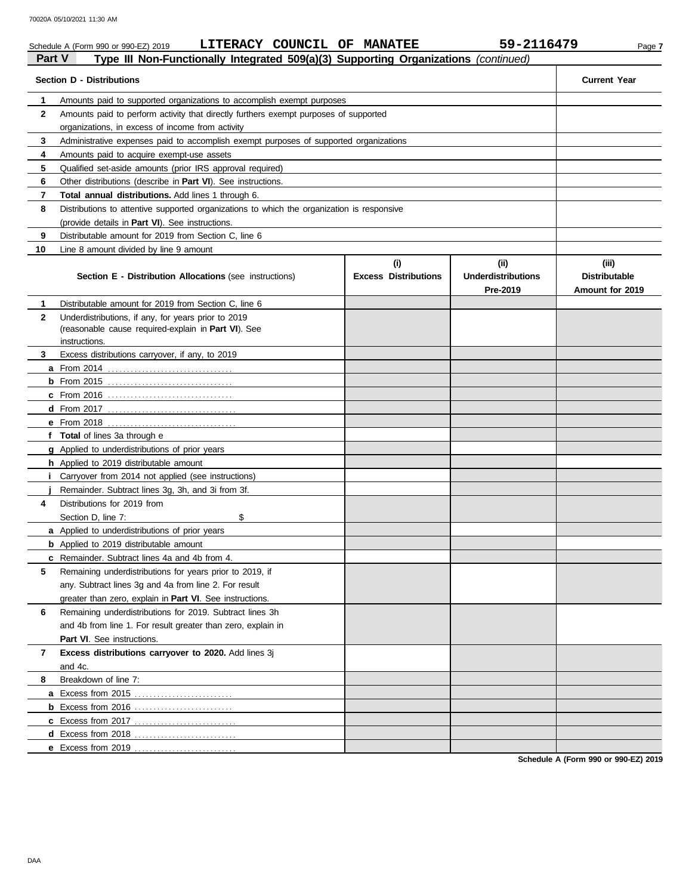| Part V       | LITERACY COUNCIL OF MANATEE<br>Schedule A (Form 990 or 990-EZ) 2019<br>Type III Non-Functionally Integrated 509(a)(3) Supporting Organizations (continued) |                             | 59-2116479                            | Page 7                                  |
|--------------|------------------------------------------------------------------------------------------------------------------------------------------------------------|-----------------------------|---------------------------------------|-----------------------------------------|
|              | <b>Section D - Distributions</b>                                                                                                                           |                             |                                       | <b>Current Year</b>                     |
| 1            | Amounts paid to supported organizations to accomplish exempt purposes                                                                                      |                             |                                       |                                         |
| $\mathbf{2}$ | Amounts paid to perform activity that directly furthers exempt purposes of supported                                                                       |                             |                                       |                                         |
|              | organizations, in excess of income from activity                                                                                                           |                             |                                       |                                         |
| 3            | Administrative expenses paid to accomplish exempt purposes of supported organizations                                                                      |                             |                                       |                                         |
| 4            | Amounts paid to acquire exempt-use assets                                                                                                                  |                             |                                       |                                         |
| 5            | Qualified set-aside amounts (prior IRS approval required)                                                                                                  |                             |                                       |                                         |
| 6            | Other distributions (describe in Part VI). See instructions.                                                                                               |                             |                                       |                                         |
| 7            | <b>Total annual distributions.</b> Add lines 1 through 6.                                                                                                  |                             |                                       |                                         |
| 8            | Distributions to attentive supported organizations to which the organization is responsive                                                                 |                             |                                       |                                         |
|              | (provide details in Part VI). See instructions.                                                                                                            |                             |                                       |                                         |
| 9            | Distributable amount for 2019 from Section C, line 6                                                                                                       |                             |                                       |                                         |
| 10           | Line 8 amount divided by line 9 amount                                                                                                                     |                             |                                       |                                         |
|              |                                                                                                                                                            | (i)                         | (ii)                                  | (iii)                                   |
|              | <b>Section E - Distribution Allocations (see instructions)</b>                                                                                             | <b>Excess Distributions</b> | <b>Underdistributions</b><br>Pre-2019 | <b>Distributable</b><br>Amount for 2019 |
| 1            | Distributable amount for 2019 from Section C, line 6                                                                                                       |                             |                                       |                                         |
| $\mathbf{2}$ | Underdistributions, if any, for years prior to 2019<br>(reasonable cause required-explain in Part VI). See<br>instructions.                                |                             |                                       |                                         |
| 3            |                                                                                                                                                            |                             |                                       |                                         |
|              | Excess distributions carryover, if any, to 2019<br><b>a</b> From 2014                                                                                      |                             |                                       |                                         |
|              |                                                                                                                                                            |                             |                                       |                                         |
|              | <b>b</b> From 2015 <u></u>                                                                                                                                 |                             |                                       |                                         |
|              |                                                                                                                                                            |                             |                                       |                                         |
|              | e From 2018                                                                                                                                                |                             |                                       |                                         |
|              |                                                                                                                                                            |                             |                                       |                                         |
|              | f Total of lines 3a through e                                                                                                                              |                             |                                       |                                         |
|              | g Applied to underdistributions of prior years                                                                                                             |                             |                                       |                                         |
|              | h Applied to 2019 distributable amount                                                                                                                     |                             |                                       |                                         |
| Ĭ.           | Carryover from 2014 not applied (see instructions)                                                                                                         |                             |                                       |                                         |
|              | Remainder. Subtract lines 3q, 3h, and 3i from 3f.                                                                                                          |                             |                                       |                                         |
| 4            | Distributions for 2019 from                                                                                                                                |                             |                                       |                                         |
|              | \$<br>Section D, line 7:                                                                                                                                   |                             |                                       |                                         |
|              | a Applied to underdistributions of prior years                                                                                                             |                             |                                       |                                         |
|              | <b>b</b> Applied to 2019 distributable amount                                                                                                              |                             |                                       |                                         |
|              | c Remainder. Subtract lines 4a and 4b from 4.                                                                                                              |                             |                                       |                                         |
| 5            | Remaining underdistributions for years prior to 2019, if                                                                                                   |                             |                                       |                                         |
|              | any. Subtract lines 3g and 4a from line 2. For result                                                                                                      |                             |                                       |                                         |
|              | greater than zero, explain in Part VI. See instructions.                                                                                                   |                             |                                       |                                         |
| 6            | Remaining underdistributions for 2019. Subtract lines 3h                                                                                                   |                             |                                       |                                         |
|              | and 4b from line 1. For result greater than zero, explain in                                                                                               |                             |                                       |                                         |
|              | Part VI. See instructions.                                                                                                                                 |                             |                                       |                                         |
| 7            | Excess distributions carryover to 2020. Add lines 3j                                                                                                       |                             |                                       |                                         |
|              | and 4c.                                                                                                                                                    |                             |                                       |                                         |
| 8            | Breakdown of line 7:                                                                                                                                       |                             |                                       |                                         |
|              | a Excess from 2015                                                                                                                                         |                             |                                       |                                         |

**Schedule A (Form 990 or 990-EZ) 2019**

**b** Excess from 2016 . . . . . . . . . . . . . . . . . . . . . . . . . . **c** Excess from 2017 . . . . . . . . . . . . . . . . . . . . . . . . . . . **d** Excess from 2018 . . . . . . . . . . . . . . . . . . . . . . . . . . . **e** Excess from 2019 . . . . . . . . . . . . . . . . . . . . . . . . . . .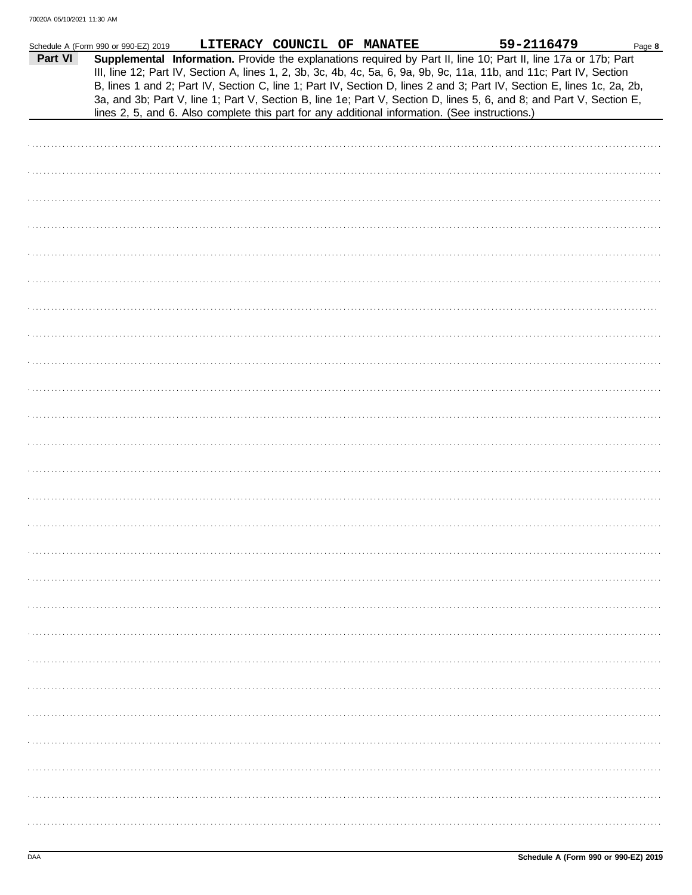|         | Schedule A (Form 990 or 990-EZ) 2019 |                                                                                                | LITERACY COUNCIL OF MANATEE |  | 59-2116479                                                                                                                                                                                                                                                                                                                                                                                                                                                                                | Page 8 |
|---------|--------------------------------------|------------------------------------------------------------------------------------------------|-----------------------------|--|-------------------------------------------------------------------------------------------------------------------------------------------------------------------------------------------------------------------------------------------------------------------------------------------------------------------------------------------------------------------------------------------------------------------------------------------------------------------------------------------|--------|
| Part VI |                                      |                                                                                                |                             |  | Supplemental Information. Provide the explanations required by Part II, line 10; Part II, line 17a or 17b; Part<br>III, line 12; Part IV, Section A, lines 1, 2, 3b, 3c, 4b, 4c, 5a, 6, 9a, 9b, 9c, 11a, 11b, and 11c; Part IV, Section<br>B, lines 1 and 2; Part IV, Section C, line 1; Part IV, Section D, lines 2 and 3; Part IV, Section E, lines 1c, 2a, 2b,<br>3a, and 3b; Part V, line 1; Part V, Section B, line 1e; Part V, Section D, lines 5, 6, and 8; and Part V, Section E, |        |
|         |                                      | lines 2, 5, and 6. Also complete this part for any additional information. (See instructions.) |                             |  |                                                                                                                                                                                                                                                                                                                                                                                                                                                                                           |        |
|         |                                      |                                                                                                |                             |  |                                                                                                                                                                                                                                                                                                                                                                                                                                                                                           |        |
|         |                                      |                                                                                                |                             |  |                                                                                                                                                                                                                                                                                                                                                                                                                                                                                           |        |
|         |                                      |                                                                                                |                             |  |                                                                                                                                                                                                                                                                                                                                                                                                                                                                                           |        |
|         |                                      |                                                                                                |                             |  |                                                                                                                                                                                                                                                                                                                                                                                                                                                                                           |        |
|         |                                      |                                                                                                |                             |  |                                                                                                                                                                                                                                                                                                                                                                                                                                                                                           |        |
|         |                                      |                                                                                                |                             |  |                                                                                                                                                                                                                                                                                                                                                                                                                                                                                           |        |
|         |                                      |                                                                                                |                             |  |                                                                                                                                                                                                                                                                                                                                                                                                                                                                                           |        |
|         |                                      |                                                                                                |                             |  |                                                                                                                                                                                                                                                                                                                                                                                                                                                                                           |        |
|         |                                      |                                                                                                |                             |  |                                                                                                                                                                                                                                                                                                                                                                                                                                                                                           |        |
|         |                                      |                                                                                                |                             |  |                                                                                                                                                                                                                                                                                                                                                                                                                                                                                           |        |
|         |                                      |                                                                                                |                             |  |                                                                                                                                                                                                                                                                                                                                                                                                                                                                                           |        |
|         |                                      |                                                                                                |                             |  |                                                                                                                                                                                                                                                                                                                                                                                                                                                                                           |        |
|         |                                      |                                                                                                |                             |  |                                                                                                                                                                                                                                                                                                                                                                                                                                                                                           |        |
|         |                                      |                                                                                                |                             |  |                                                                                                                                                                                                                                                                                                                                                                                                                                                                                           |        |
|         |                                      |                                                                                                |                             |  |                                                                                                                                                                                                                                                                                                                                                                                                                                                                                           |        |
|         |                                      |                                                                                                |                             |  |                                                                                                                                                                                                                                                                                                                                                                                                                                                                                           |        |
|         |                                      |                                                                                                |                             |  |                                                                                                                                                                                                                                                                                                                                                                                                                                                                                           |        |
|         |                                      |                                                                                                |                             |  |                                                                                                                                                                                                                                                                                                                                                                                                                                                                                           |        |
|         |                                      |                                                                                                |                             |  |                                                                                                                                                                                                                                                                                                                                                                                                                                                                                           |        |
|         |                                      |                                                                                                |                             |  |                                                                                                                                                                                                                                                                                                                                                                                                                                                                                           |        |
|         |                                      |                                                                                                |                             |  |                                                                                                                                                                                                                                                                                                                                                                                                                                                                                           |        |
|         |                                      |                                                                                                |                             |  |                                                                                                                                                                                                                                                                                                                                                                                                                                                                                           |        |
|         |                                      |                                                                                                |                             |  |                                                                                                                                                                                                                                                                                                                                                                                                                                                                                           |        |
|         |                                      |                                                                                                |                             |  |                                                                                                                                                                                                                                                                                                                                                                                                                                                                                           |        |
|         |                                      |                                                                                                |                             |  |                                                                                                                                                                                                                                                                                                                                                                                                                                                                                           |        |
|         |                                      |                                                                                                |                             |  |                                                                                                                                                                                                                                                                                                                                                                                                                                                                                           |        |
|         |                                      |                                                                                                |                             |  |                                                                                                                                                                                                                                                                                                                                                                                                                                                                                           |        |
|         |                                      |                                                                                                |                             |  |                                                                                                                                                                                                                                                                                                                                                                                                                                                                                           |        |
|         |                                      |                                                                                                |                             |  |                                                                                                                                                                                                                                                                                                                                                                                                                                                                                           |        |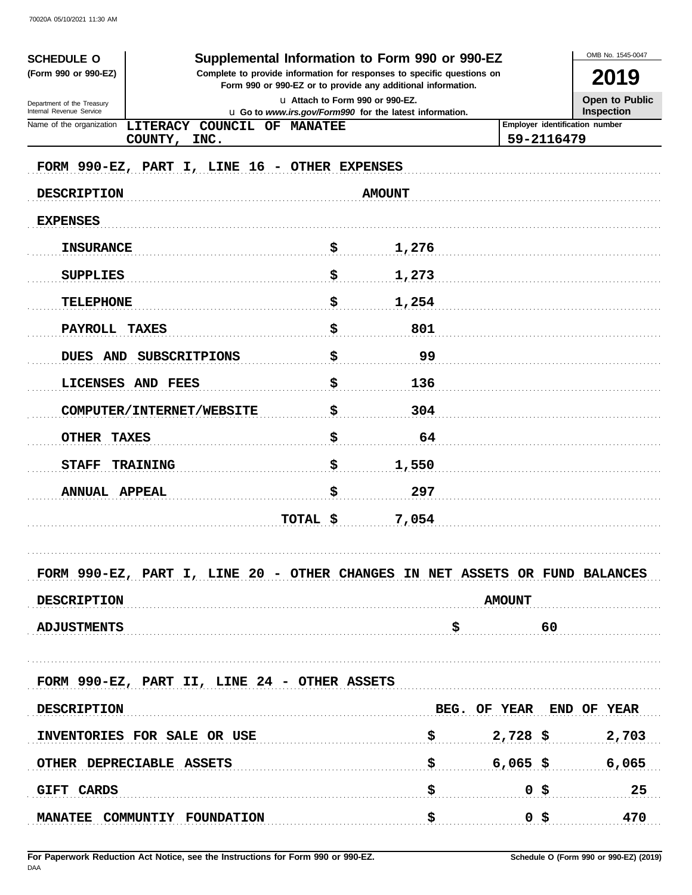| <b>SCHEDULE O</b>                                      | Supplemental Information to Form 990 or 990-EZ                                                                                                                                                                                       |          |                             | OMB No. 1545-0047                             |                                |
|--------------------------------------------------------|--------------------------------------------------------------------------------------------------------------------------------------------------------------------------------------------------------------------------------------|----------|-----------------------------|-----------------------------------------------|--------------------------------|
| (Form 990 or 990-EZ)                                   | Complete to provide information for responses to specific questions on<br>Form 990 or 990-EZ or to provide any additional information.<br>u Attach to Form 990 or 990-EZ.<br>u Go to www.irs.gov/Form990 for the latest information. |          |                             | 2019                                          |                                |
| Department of the Treasury<br>Internal Revenue Service |                                                                                                                                                                                                                                      |          |                             | <b>Open to Public</b><br><b>Inspection</b>    |                                |
| Name of the organization                               | LITERACY COUNCIL OF MANATEE                                                                                                                                                                                                          |          |                             |                                               | Employer identification number |
|                                                        | COUNTY,<br>INC.                                                                                                                                                                                                                      |          |                             | 59-2116479                                    |                                |
|                                                        | FORM 990-EZ, PART I, LINE 16 - OTHER EXPENSES                                                                                                                                                                                        |          |                             |                                               |                                |
| <b>DESCRIPTION</b>                                     |                                                                                                                                                                                                                                      |          | <b>AMOUNT</b>               |                                               |                                |
| <b>EXPENSES</b>                                        |                                                                                                                                                                                                                                      |          |                             |                                               |                                |
| <b>INSURANCE</b>                                       |                                                                                                                                                                                                                                      | \$       | 1,276                       |                                               |                                |
| <b>SUPPLIES</b>                                        |                                                                                                                                                                                                                                      | \$       | 1,273                       |                                               |                                |
| <b>TELEPHONE</b>                                       |                                                                                                                                                                                                                                      | \$       | 1,254                       |                                               |                                |
| <b>PAYROLL</b>                                         | <b>TAXES</b>                                                                                                                                                                                                                         | \$       | 801                         |                                               |                                |
| DUES AND                                               | <b>SUBSCRITPIONS</b>                                                                                                                                                                                                                 | \$       | 99                          |                                               |                                |
| <b>LICENSES</b>                                        | <b>AND FEES</b>                                                                                                                                                                                                                      | \$       | 136                         |                                               |                                |
|                                                        | COMPUTER/INTERNET/WEBSITE                                                                                                                                                                                                            | \$       | 304                         |                                               |                                |
| <b>OTHER</b>                                           | <b>TAXES</b>                                                                                                                                                                                                                         | \$       | 64                          |                                               |                                |
| <b>STAFF</b>                                           | <b>TRAINING</b>                                                                                                                                                                                                                      | \$       | 1,550                       |                                               |                                |
| <b>ANNUAL APPEAL</b>                                   |                                                                                                                                                                                                                                      | \$       | 297                         |                                               |                                |
|                                                        |                                                                                                                                                                                                                                      | TOTAL \$ | 7,054                       |                                               |                                |
|                                                        |                                                                                                                                                                                                                                      |          |                             |                                               |                                |
|                                                        | FORM 990-EZ, PART I, LINE 20 - OTHER CHANGES IN NET ASSETS OR FUND BALANCES                                                                                                                                                          |          |                             |                                               |                                |
| <b>DESCRIPTION</b>                                     |                                                                                                                                                                                                                                      |          |                             | <b>AMOUNT</b>                                 |                                |
| <b>ADJUSTMENTS</b>                                     |                                                                                                                                                                                                                                      |          |                             | \$      60                                    |                                |
|                                                        | FORM 990-EZ, PART II, LINE 24 - OTHER ASSETS                                                                                                                                                                                         |          |                             |                                               |                                |
| <b>DESCRIPTION</b>                                     |                                                                                                                                                                                                                                      |          | BEG. OF YEAR END OF YEAR    |                                               |                                |
|                                                        | INVENTORIES FOR SALE OR USE                                                                                                                                                                                                          |          | $\frac{1}{5}$ 2,728 \$      |                                               | 2,703                          |
|                                                        | OTHER DEPRECIABLE ASSETS                                                                                                                                                                                                             |          | $\frac{1}{5}$ ,065 \$ 6,065 |                                               |                                |
| GIFT CARDS                                             |                                                                                                                                                                                                                                      |          | \$                          | $\begin{array}{c} 0 & \texttt{S} \end{array}$ | 25                             |
|                                                        | MANATEE COMMUNTIY FOUNDATION                                                                                                                                                                                                         |          |                             |                                               | $\frac{1}{5}$ 0 \$ 470         |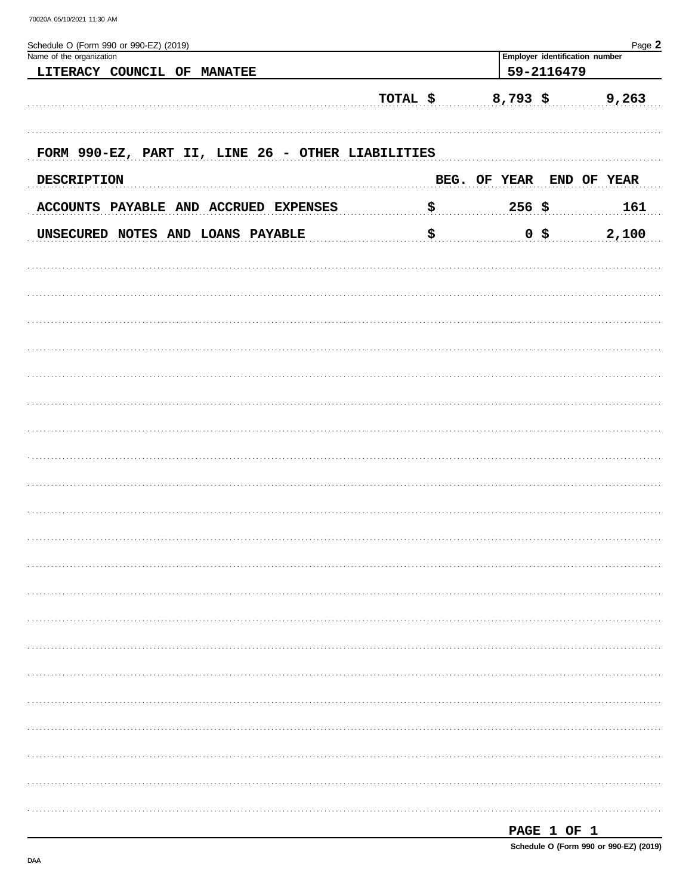| Schedule O (Form 990 or 990-EZ) (2019)            |               |              |            |                                              | Page 2      |  |  |
|---------------------------------------------------|---------------|--------------|------------|----------------------------------------------|-------------|--|--|
| Name of the organization                          |               |              |            | Employer identification number<br>59-2116479 |             |  |  |
| LITERACY COUNCIL OF<br><b>MANATEE</b>             |               |              |            |                                              |             |  |  |
|                                                   | TOTAL \$      |              | $8,793$ \$ |                                              | 9,263       |  |  |
| FORM 990-EZ, PART II, LINE 26 - OTHER LIABILITIES |               |              |            |                                              |             |  |  |
| DESCRIPTION                                       |               | BEG. OF YEAR |            |                                              | END OF YEAR |  |  |
| ACCOUNTS PAYABLE AND ACCRUED EXPENSES             | <u>្ពុ នុ</u> |              | $256$ \$   |                                              | 161         |  |  |
| UNSECURED NOTES AND LOANS PAYABLE                 |               | \$.          |            | 0, 5                                         | 2,100       |  |  |
|                                                   |               |              |            |                                              |             |  |  |
|                                                   |               |              |            |                                              |             |  |  |
|                                                   |               |              |            |                                              |             |  |  |
|                                                   |               |              |            |                                              |             |  |  |
|                                                   |               |              |            |                                              |             |  |  |
|                                                   |               |              |            |                                              |             |  |  |
|                                                   |               |              |            |                                              |             |  |  |
|                                                   |               |              |            |                                              |             |  |  |
|                                                   |               |              |            |                                              |             |  |  |
|                                                   |               |              |            |                                              |             |  |  |
|                                                   |               |              |            |                                              |             |  |  |
|                                                   |               |              |            |                                              |             |  |  |
|                                                   |               |              |            |                                              |             |  |  |
|                                                   |               |              |            |                                              |             |  |  |
|                                                   |               |              |            |                                              |             |  |  |
|                                                   |               |              |            |                                              |             |  |  |
|                                                   |               |              |            |                                              |             |  |  |
|                                                   |               |              |            |                                              |             |  |  |
|                                                   |               |              |            |                                              |             |  |  |
|                                                   |               |              |            |                                              |             |  |  |
|                                                   |               |              |            |                                              |             |  |  |
|                                                   |               |              |            |                                              |             |  |  |

| ובום<br>v.<br>. |  |  |  |
|-----------------|--|--|--|
|-----------------|--|--|--|

Schedule O (Form 990 or 990-EZ) (2019)